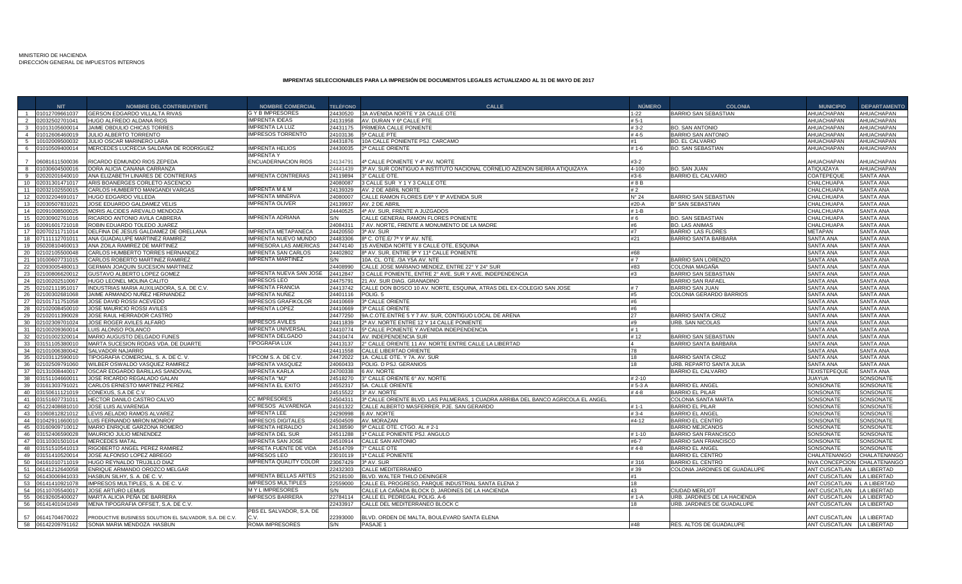## DIRECCIÓN GENERAL DE IMPUESTOS INTERNOS MINISTERIO DE HACIENDA

## **IMPRENTAS SELECCIONABLES PARA LA IMPRESIÓN DE DOCUMENTOS LEGALES ACTUALIZADO AL 31 DE MAYO DE 2017**

| <b>NIT</b>                       | <b>NOMBRE DEL CONTRIBUYENTE</b>                        | <b>NOMBRE COMERCIAL</b>       | <b>TELÉFONO</b> | <b>CALLE</b>                                                                     | <b>NÚMERO</b>  | <b>COLONIA</b>                | <b>MUNICIPIO</b>          | <b>DEPARTAMENTO</b> |
|----------------------------------|--------------------------------------------------------|-------------------------------|-----------------|----------------------------------------------------------------------------------|----------------|-------------------------------|---------------------------|---------------------|
| 01012709661037                   | <b>GERSON EDGARDO VILLALTA RIVAS</b>                   | <b>GYBIMPRESORES</b>          |                 | 24430520 3A AVENIDA NORTE Y 2A CALLE OTE                                         | $1 - 22$       | <b>BARRIO SAN SEBASTIAN</b>   | <b>AHUACHAPAN</b>         | <b>AHUACHAPAN</b>   |
| 02032502701041<br>$\overline{2}$ | HUGO ALFREDO ALDANA RIOS                               | <b>IMPRENTA IDEAS</b>         | 24131958        | AV. DURAN Y 6ª CALLE PTE                                                         | $# 5-1$        |                               | AHUACHAPAN                | AHUACHAPAN          |
| $\overline{3}$<br>01013105600014 | JAIME OBDULIO CHICAS TORRES                            | <b>IMPRENTA LA LUZ</b>        | 24431175        | PRIMERA CALLE PONIENTE                                                           | #3-2           | <b>BO. SAN ANTONIO</b>        | AHUACHAPAN                | AHUACHAPAN          |
| 01012606460019<br>$\overline{4}$ | <b>JULIO ALBERTO TORRENTO</b>                          | <b>IMPRESOS TORRENTO</b>      | 24103136        | 5ª CALLE PTE                                                                     | #4-5           | <b>BARRIO SAN ANTONIO</b>     | AHUACHAPAN                | AHUACHAPAN          |
| 5<br>10102009500032              | JULIO OSCAR MARINERO LARA                              |                               | 24431876        | 10A CALLE PONIENTE PSJ. CARCAMO                                                  | #1             | <b>BO. EL CALVARIO</b>        | <b>AHUACHAPAN</b>         | AHUACHAPAN          |
| 01010509400014<br>6              | MERCEDES LUCRECIA SALDAÑA DE RODRIGUEZ                 | <b>IMPRENTA HELIOS</b>        | 24430035        | 2ª CALLE ORIENTE                                                                 | $# 1 - 6$      | <b>BO. SAN SEBASTIAN</b>      | <b>AHUACHAPAN</b>         | AHUACHAPAN          |
|                                  |                                                        | <b>IMPRENTAY</b>              |                 |                                                                                  |                |                               |                           |                     |
| 06081611500036<br>$\overline{7}$ | RICARDO EDMUNDO RIOS ZEPEDA                            | ENCUADERNACION RIOS           | 4134791         | 4ª CALLE PONIENTE Y 4ª AV. NORTE                                                 | $#3-2$         |                               | <b>AHUACHAPAN</b>         | AHUACHAPAN          |
| 8<br>01030604500016              | DORA ALICIA CANANA CARRANZA                            |                               | 24441439        | 3ª AV. SUR CONTIGUO A INSTITUTO NACIONAL CORNELIO AZENON SIERRA ATIQUIZAYA       | 4-100          | <b>BO. SAN JUAN</b>           | <b>ATIQUIZAYA</b>         | <b>AHUACHAPAN</b>   |
| -9<br>02020201640010             | ANA ELIZABETH LINARES DE CONTRERAS                     | <b>IMPRENTA CONTRERAS</b>     | 24119894        | 3° CALLE OTE                                                                     | #3-6           | <b>BARRIO EL CALVARIO</b>     | <b>COATEPEQUE</b>         | SANTA ANA           |
| 10<br>2031301471017              | ARIS BOANERGES CORLETO ASCENCIO                        |                               | 24080087        | 3 CALLE SUR Y 1 Y 3 CALLE OTE                                                    | #8B            |                               | CHALCHUAPA                | SANTA ANA           |
| 11<br>02032102550015             | CARLOS HUMBERTO MANGANDI VARGAS                        | <b>IMPRENTA M &amp; M</b>     | 24139329        | AV. 2 DE ABRIL NORTE                                                             | #2             |                               | CHALCHUAPA                | <b>SANTA ANA</b>    |
| 12<br>2032204691017              | HUGO EDGARDO VILLEDA                                   | <b>IMPRENTA MINERVA</b>       | 24080007        | CALLE RAMON FLORES E/6ª Y 8ª AVENIDA SUR                                         | $N^{\circ} 24$ | BARRIO SAN SEBASTIAN          | CHALCHUAPA                | <b>SANTA ANA</b>    |
| 13<br>02030507831021             | JOSE EDUARDO GALDAMEZ VELIS                            | <b>IMPRENTA OLIVER</b>        | 24139937        | AV. 2 DE ABRIL                                                                   | #20-A          | <b>B° SAN SEBASTIAN</b>       | CHALCHUAPA                | <b>SANTA ANA</b>    |
| 14<br>02091008500025             | MORIS ALCIDES AREVALO MENDOZA                          |                               | 24440525        | 4ª AV. SUR, FRENTE A JUZGADOS                                                    | # 1-B          |                               | <b>CHALCHUAPA</b>         | <b>SANTA ANA</b>    |
| 02030902761016<br>15             | RICARDO ANTONIO AVILA CABRERA                          | <b>IMPRENTA ADRIANA</b>       | S/N             | CALLE GENERAL RAMON FLORES PONIENTE                                              | #6             | <b>BO. SAN SEBASTIAN</b>      | CHALCHUAPA                | <b>SANTA ANA</b>    |
| 16<br>02091601721018             | ROBIN EDUARDO TOLEDO JUAREZ                            |                               | 24084311        | 7 AV, NORTE, FRENTE A MONUMENTO DE LA MADRE                                      | #6             | <b>BO. LAS ANIMAS</b>         | <b>CHALCHUAPA</b>         | <b>SANTA ANA</b>    |
| 17                               | DELFINA DE JESUS GALDAMEZ DE ORELLANA                  | <b>IMPRENTA METAPANECA</b>    | 24420550        | 3ª AV. SUR                                                                       | #7             |                               | <b>METAPAN</b>            | <b>SANTA ANA</b>    |
| 02070211711014                   |                                                        |                               |                 |                                                                                  |                | <b>BARRIO LAS FLORES</b>      |                           |                     |
| 18<br>07111112701011             | ANA GUADALUPE MARTINEZ RAMIREZ                         | <b>IMPRENTA NUEVO MUNDO</b>   | 24483306        | 8ª C. OTE.E/ 7ª Y 9ª AV. NTE.                                                    | #21            | <b>BARRIO SANTA BARBARA</b>   | <b>SANTA ANA</b>          | <b>SANTA ANA</b>    |
| 05020810460013<br>19             | ANA ZOILA RAMIREZ DE MARTINEZ                          | <b>IMPRESORA LAS AMERICAS</b> | 24474140        | 15 AVENIDA NORTE Y 8 CALLE OTE, ESQUINA                                          |                |                               | <b>SANTA ANA</b>          | <b>SANTA ANA</b>    |
| 20<br>02102105500048             | CARLOS HUMBERTO TORRES HERNANDEZ                       | <b>IMPRENTA SAN CARLOS</b>    | 24402802        | 8ª AV. SUR, ENTRE 9ª Y 11ª CALLE PONIENTE                                        | #68            |                               | <b>SANTA ANA</b>          | <b>SANTA ANA</b>    |
| 21<br>10100607731015             | CARLOS ROBERTO MARTINEZ RAMIREZ                        | <b>IMPRENTA MARTINEZ</b>      | S/N             | 10A. CL. OTE. /3A Y5A AV. NTE                                                    | #7             | <b>BARRIO SAN LORENZO</b>     | <b>SANTA ANA</b>          | <b>SANTA ANA</b>    |
| 22<br>02093005480013             | GERMAN JOAQUIN SUCESION MARTINEZ                       |                               | 24408990        | CALLE JOSE MARIANO MENDEZ, ENTRE 22° Y 24° SUR                                   | #83            | COLONIA MAGAÑA                | <b>SANTA ANA</b>          | <b>SANTA ANA</b>    |
| 23<br>02100806620012             | GUSTAVO ALBERTO LOPEZ GOMEZ                            | IMPRENTA NUEVA SAN JOSE       | 24412847        | 3 CALLE PONIENTE, ENTRE 2° AVE. SUR Y AVE. INDEPENDENCIA                         | #3             | BARRIO SAN SEBASTIAN          | <b>SANTA ANA</b>          | <b>SANTA ANA</b>    |
| 24<br>02100202510067             | HUGO LEONEL MOLINA CALITO                              | <b>IMPRESOS LEO</b>           | 24475791        | 21 AV. SUR DIAG. GRANADINO                                                       |                | <b>BARRIO SAN RAFAEI</b>      | <b>SANTA ANA</b>          | <b>SANTA ANA</b>    |
| 25<br>02102111951017             | INDUSTRIAS MARIA AUXILIADORA, S.A. DE C.V.             | <b>IMPRENTA FRANCIA</b>       | 24413742        | CALLE DON BOSCO 10 AV. NORTE, ESQUINA, ATRAS DEL EX-COLEGIO SAN JOSE             | #7             | <b>BARRIO SAN JUAN</b>        | <b>SANTA ANA</b>          | <b>SANTA ANA</b>    |
| 26<br>2100302681068              | JAIME ARMANDO NUÑEZ HERNANDEZ                          | IMPRENTA NUÑEZ                | 24401116        | POLIG. 5                                                                         |                | COLONIA GERARDO BARRIOS       | <b>SANTA ANA</b>          | <b>SANTA ANA</b>    |
| 27<br>02101711751058             | JOSE DAVID ROSSI ACEVEDO                               | <b>IMPRESOS GRAFIKOLOR</b>    | 24410669        | 3ª CALLE ORIENTE                                                                 | #6             |                               | SANTA ANA                 | <b>SANTA ANA</b>    |
| 28<br>02102008450010             | JOSE MAURICIO ROSSI AVILES                             | <b>IMPRENTA LOPEZ</b>         | 24410669        | 3ª CALLE ORIENTE                                                                 | #6             |                               | <b>SANTA ANA</b>          | <b>SANTA ANA</b>    |
| 29<br>02102011390028             | JOSE RAUL HERRADOR CASTRO                              |                               | 24477250        | 9A.C.OTE.ENTRE 5 Y 7 AV. SUR, CONTIGUO LOCAL DE ARENA                            | 27             | <b>BARRIO SANTA CRUZ</b>      | <b>SANTA ANA</b>          | <b>SANTA ANA</b>    |
| 30<br>02102309701024             | JOSE ROGER AVILES ALFARO                               | <b>IMPRESOS AVILES</b>        | 24411839        | 2ª AV. NORTE ENTRE 12 Y 14 CALLE PONIENTE                                        | #9             | URB. SAN NICOLAS              | <b>SANTA ANA</b>          | <b>SANTA ANA</b>    |
| 31<br>02100209360014             | LUIS ALONSO POLANCO                                    | <b>IMPRENTA UNIVERSAL</b>     | 24410774        | 5ª CALLE PONIENTE Y AVENIDA INDEPENDENCIA                                        | # 1            |                               | <b>SANTA ANA</b>          | <b>SANTA ANA</b>    |
| 32<br>02101002320014             | MARIO AUGUSTO DELGADO FUNES                            | <b>IMPRENTA DELGADO</b>       | 24410474        | AV. INDEPENDENCIA SUR                                                            | # 12           | BARRIO SAN SEBASTIAN          | <b>SANTA ANA</b>          | <b>SANTA ANA</b>    |
| 3151105380010<br>33              | MARTA SUCESION RODAS VDA. DE DUARTE                    | <b><i>TIPOGRAFIA LUX</i></b>  | 24413137        | 2° CALLE ORIENTE 11 AV. NORTE ENTRE CALLE LA LIBERTAD                            |                | <b>BARRIO SANTA BARBARA</b>   | <b>SANTA ANA</b>          | <b>SANTA ANA</b>    |
| 34<br>02101006380042             | SALVADOR NAJARRO                                       |                               | 24411558        | CALLE LIBERTAD ORIENTE                                                           | 78             |                               | <b>SANTA ANA</b>          | <b>SANTA ANA</b>    |
| 35<br>02103112590010             | TIPOGRAFIA COMERCIAL, S. A. DE C. V.                   | TIPCOM S. A. DE C.V.          | 24472022        | 1A. CALLE OTE. Y 7A. AV. SUR                                                     | 18             | <b>BARRIO SANTA CRUZ</b>      | <b>SANTA ANA</b>          | <b>SANTA ANA</b>    |
| 36<br>02102509791060             | WILBER OSWALDO VASQUEZ RAMIREZ                         | <b>IMPRENTA VASQUEZ</b>       | 24060433        | POLIG. D PSJ. GERANIOS                                                           |                | URB. REPARTO SANTA JULIA      | <b>SANTA ANA</b>          | <b>SANTA ANA</b>    |
| 37<br>02131008440017             | OSCAR EDGARDO BARILLAS SANDOVAL                        | <b>IMPRENTA KARLA</b>         | 24700338        | 6 AV. NORTE                                                                      |                | <b>BARRIO EL CALVARIO</b>     | <b>TEXISTEPEQUE</b>       | SANTA ANA           |
| 38<br>03151104660011             | JOSE RICARDO REGALADO GALAN                            | <b>IMPRENTA "MJ"</b>          | 24518270        | 3° CALLE ORIENTE 6° AV. NORTE                                                    | #2-10          |                               | <b>JUAYUA</b>             | SONSONATE           |
| 39<br>03161303791021             | CARLOS ERNESTO MARTÍNEZ PEREZ                          | <b>IMPRENTA EL EXITO</b>      | 24552317        | 5A. CALLE ORIENTE                                                                | # 5-3 A        | <b>BARRIO EL ANGEL</b>        | SONSONATE                 | SONSONATI           |
|                                  |                                                        |                               |                 |                                                                                  |                |                               |                           |                     |
| 40<br>03150611121019             | CONEXUS, S.A DE C.V.                                   |                               | 24515522        | 3° AV. NORTE                                                                     | #4-8           | <b>BARRIO EL PILAR</b>        | SONSONATE                 | SONSONATE           |
| 03151607731011<br>41             | HECTOR DANILO CASTRO CALVO                             | CC IMPRESORES                 | 24504311        | 3ª CALLE ORIENTE BLVD. LAS PALMERAS, 1 CUADRA ARRIBA DEL BANCO AGRICOLA EL ANGEL |                | COLONIA SANTA MARTA           | SONSONATE                 | SONSONATE           |
| 42<br>05122408681010             | JOSE LUIS ALVARENGA                                    | IMPRESOS ALVARENGA            | 24161322        | CALLE ALBERTO MASFERRER, PJE. SAN GERARDO                                        | $# 1 - 1$      | <b>BARRIO EL PILAR</b>        | SONSONATE                 | SONSONATE           |
| 01060812821012<br>43             | LEVIS AELADIO RAMOS ALVAREZ                            | <b>IMPRENTA LEE</b>           | 24290998        | 6 AV. NORTE                                                                      | $#3-4$         | <b>BARRIO EL ANGEL</b>        | SONSONATE                 | SONSONATE           |
| 44<br>01042911660010             | LUIS FERNANDO MIRON MONROY                             | <b>IMPRESOS DIGITALES</b>     | 24504509        | AV. MORAZAN                                                                      | #4-12          | <b>BARRIO EL CENTRO</b>       | SONSONATE                 | SONSONATE           |
| 45<br>03160909710012             | MARIO ENRIQUE GARZONA ROMERO                           | <b>IMPRENTA HERALDO</b>       | 24138590        | 9ª CALLE OTE, CTGO, AL # 2-1                                                     |                | <b>BARRIO MEJICANOS</b>       | SONSONATE                 | SONSONATE           |
| 46<br>03152406590028             | MAURICIO JULIO MENENDEZ                                | <b>IMPRENTA DEL SUR</b>       | 24511288        | 1ª CALLE PONIENTE PSJ. ANGULO                                                    | $# 1 - 10$     | <b>BARRIO SAN FRANCISCO</b>   | SONSONATE                 | SONSONATE           |
| 47<br>03110301501014             | <b>MERCEDES MATAL</b>                                  | <b>IMPRENTA SAN JOSE</b>      | 24510914        | <b>CALLE SAN ANTONIO</b>                                                         | #6-7           | <b>BARRIO SAN FRANCISCO</b>   | SONSONATE                 | SONSONATE           |
| 48<br>03151510541013             | RIGOBERTO ANGEL PEREZ RAMIREZ                          | <b>IMPRETA FUENTE DE VIDA</b> | 24514709        | 7° CALLE OTE                                                                     | #4-8           | <b>BARRIO EL ANGEL</b>        | SONSONATE                 | SONSONATE           |
| 49<br>03151410520014             | JOSE ALFONSO LOPEZ ABREGO                              | <b>IMPRESOS LEO</b>           | 23010119        | 1ª CALLE PONIENTE                                                                |                | <b>BARRIO EL CENTRO</b>       | CHALATENANGO              | CHALATENANGO        |
| 50<br>04161010711019             | HUGO REYNALDO TRUJILLO DIAZ                            | <b>IMPRENTA QUALITY COLOR</b> | 23067429        | 3ª AV. SUR                                                                       | #316           | <b>BARRIO EL CENTRO</b>       | <b>NVA CONCEPCION</b>     | CHALATENANGO        |
| 51<br>06141212640058             | ENRIQUE ARMANDO OROZCO MELGAR                          |                               | 22432303        | <b>CALLE MEDITERRANEO</b>                                                        | # 39           | COLONIA JARDINES DE GUADALUPE | <b>ANT CUSCATLAN</b>      | <b>LA LIBERTAD</b>  |
| 52<br>06143006941033             | HASBUN SILHY, S. A. DE C. V.                           | <b>IMPRENTA BELLAS ARTES</b>  | 25218100        | BLVD. WALTER THILO DENINGER                                                      | #1             |                               | <b>ANT CUSCATLAN</b>      | LA LIBERTAD         |
| 53<br>06141410921078             | IMPRESOS MULTIPLES, S. A. DE C. V.                     | <b>IMPRESOS MULTIPLES</b>     | 22559000        | CALLE EL PROGRESO, PARQUE INDUSTRIAL SANTA ELENA 2                               | 18             |                               | ANT CÚSCATLAN             | <b>A LIBERTAD</b>   |
| 54<br>0511070554001              | JOSE ARTURO LEMUS                                      | <b>MYLIMPRESORES</b>          | S/N             | CALLE LA CAÑADA BLOCK D, JARDINES DE LA HACIENDA                                 | 43             | <b>CIUDAD MERLIOT</b>         | <b>ANT CUSCATLAN</b>      | A LIBERTAD          |
| 55<br>06192605400027             | MARTA ALICIA PEÑA DE BARRERA                           | <b>IMPRESOS BARRERA</b>       | 22784114        | CALLE EL PEDREGAL POLIG. A-6                                                     | $# 1-A$        | URB. JARDINES DE LA HACIENDA  | <b>ANT CUSCATLAN</b>      | A LIBERTAD          |
| 56<br>06141401041049             | MENA TIPOGRAFIA OFFSET, S.A. DE C.V.                   |                               | 22433917        | CALLE DEL MEDITERRANEO BLOCK C                                                   | 18             | URB. JARDINES DE GUADALUPE    | ANT CÚSCATLAN             | LA LIBERTAD         |
|                                  |                                                        | PBS EL SALVADOR, S.A. DE      |                 |                                                                                  |                |                               |                           |                     |
| 57<br>06141704670022             | PRODUCTIVE BUSINESS SOLUTION EL SALVADOR, S.A. DE C.V. | C.V                           | 22393000        | BLVD. ORDEN DE MALTA, BOULEVARD SANTA ELENA                                      |                |                               | ANT CUSCATLAN             | <b>LA LIBERTAD</b>  |
| 58 06142209791162                | SONIA MARIA MENDOZA HASBUN                             | ROMA IMPRESORES               | S/N             | PASAJE <sub>1</sub>                                                              | #48            | RES. ALTOS DE GUADALUPE       | ANT CUSCATLAN LA LIBERTAD |                     |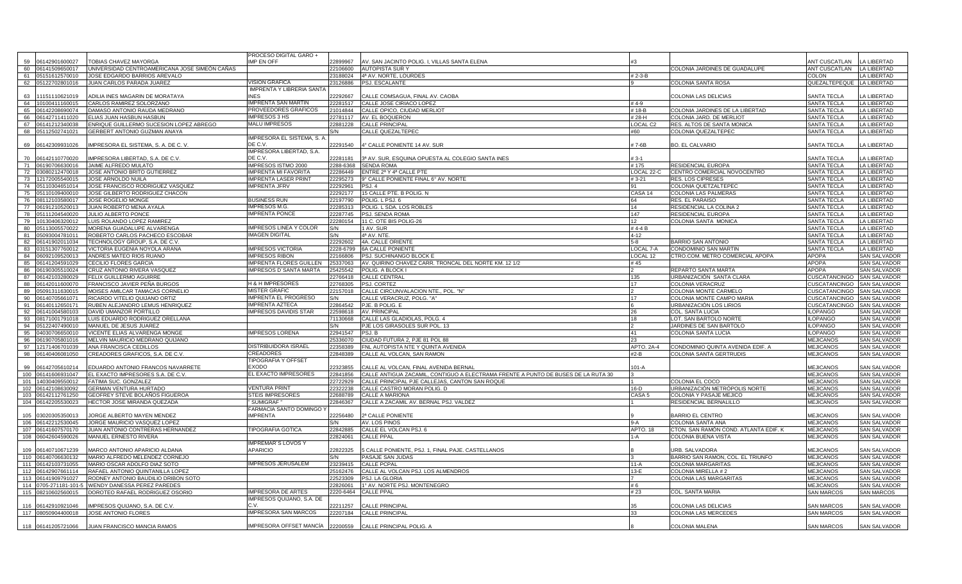|          |                                          |                                                                               | PROCESO DIGITAL GARO +                                  |                       |                                                                                   |                      |                                                              |                                       |                                            |
|----------|------------------------------------------|-------------------------------------------------------------------------------|---------------------------------------------------------|-----------------------|-----------------------------------------------------------------------------------|----------------------|--------------------------------------------------------------|---------------------------------------|--------------------------------------------|
| 59<br>60 | 06142901600027<br>06141509650017         | <b>TOBIAS CHAVEZ MAYORGA</b><br>UNIVERSIDAD CENTROAMERICANA JOSE SIMEÓN CAÑAS | <b>IMP EN OFF</b>                                       | 22899967<br>22106600  | AV. SAN JACINTO POLIG. I. VILLAS SANTA ELENA<br><b>AUTOPISTA SUR Y</b>            | #3                   | COLONIA JARDINES DE GUADALUPE                                | <b>INT CUSCATLAN</b><br>ANT CUSCATLAN | A LIBERTAD<br><b>LA LIBERTAD</b>           |
| 61       | 05151612570010                           | JOSE EDGARDO BARRIOS AREVALO                                                  |                                                         | 23188024              |                                                                                   | $# 2 - 3 - B$        |                                                              | COLON                                 |                                            |
| 62       | 05122702801016                           | JUAN CARLOS PARADA JUAREZ                                                     | <b>VISION GRAFICA</b>                                   | 23126886              | 4ª AV. NORTE, LOURDES<br>PSJ. ESCALANTE                                           |                      | COLONIA SANTA ROSA                                           | QUEZALTEPEQUE LA LIBERTAD             | LA LIBERTAD                                |
|          |                                          |                                                                               | <b>IMPRENTA Y LIBRERIA SANTA</b>                        |                       |                                                                                   |                      |                                                              |                                       |                                            |
| 63       | 11151110621019                           | ADILIA INES MAGARIN DE MORATAYA                                               | <b>INES</b>                                             | 22292667              | CALLE COMSAGUA, FINAL AV, CAOBA                                                   |                      | COLONIA LAS DELICIAS                                         | <b>ANTA TECLA</b>                     | A LIBERTAD                                 |
| 64       | 10100411160015                           | CARLOS RAMIREZ SOLORZANO                                                      | <b>IMPRENTA SAN MARTIN</b>                              | 22281517              | CALLE JOSE CIRIACO LOPEZ                                                          | #4-9                 |                                                              | SANTA TECLA                           | LA LIBERTAD                                |
| 65       | 06142208690074                           | DAMASO ANTONIO RAUDA MEDRANO                                                  | PROVEEDORES GRAFICOS                                    | 21014844              | CALLE OPICO, CIUDAD MERLIOT                                                       | #18-B                | COLONIA JARDINES DE LA LIBERTAD                              | SANTA TECLA                           | <b>LA LIBERTAD</b>                         |
| 66       | 06142711411020                           | LIAS JUAN HASBUN HASBUN                                                       | <b>IMPRESOS 3 HS</b>                                    | 22781117              | AV. EL BOQUERON                                                                   | #28-H                | COLONIA JARD. DE MERLIOT                                     | <b>SANTA TECLA</b>                    | LA LIBERTAD                                |
| 67       | 06141212340038                           | ENRIQUE GUILLERMO SUCESION LOPEZ ABREGO                                       | <b>MALU IMPRESOS</b>                                    | 22881228              | <b>CALLE PRINCIPAL</b>                                                            | LOCAL C2             | RES. ALTOS DE SANTA MONICA                                   | SANTA TECLA                           | LA LIBERTAD                                |
| 68       | 05112502741021                           | GERBERT ANTONIO GUZMAN ANAYA                                                  |                                                         | S/N                   | CALLE QUEZALTEPEC                                                                 | #60                  | COLONIA QUEZALTEPEC                                          | SANTA TECLA                           | LA LIBERTAD                                |
|          |                                          |                                                                               | IMPRESORA EL SISTEMA, S. A                              |                       |                                                                                   |                      |                                                              |                                       |                                            |
| 69       | 06142309931026                           | IMPRESORA EL SISTEMA, S. A. DE C. V.                                          | DE C.V.                                                 | 22291540              | 4° CALLE PONIENTE 14 AV. SUR                                                      | #7-6B                | <b>BO. EL CALVARIO</b>                                       | <b>SANTA TECLA</b>                    | A LIBERTAD                                 |
|          |                                          |                                                                               | IMPRESORA LIBERTAD, S.A.<br>DE C.V.                     |                       |                                                                                   |                      |                                                              |                                       |                                            |
| 70<br>71 | 06142110770020<br>06190706630016         | MPRESORA LIBERTAD, S.A. DE C.V.<br>JAIME ALFREDO MULATO                       |                                                         | 22281181<br>2288-6368 | 3ª AV. SUR, ESQUINA OPUESTA AL COLEGIO SANTA INES<br><b>SENDA ROMA</b>            | $#3-1$<br>#175       | RESIDENCIAL EUROPA                                           | SANTA TECLA<br>SANTA TECLA            | LA LIBERTAD<br>LA LIBERTAD                 |
| 72       | 03080212470018                           | JOSE ANTONIO BRITO GUTIERREZ                                                  | IMPRESOS ISTMO 2000<br><b>IMPRENTA MI FAVORITA</b>      | 22286449              | ENTRE 2ª Y 4ª CALLE PTE                                                           | LOCAL 22-C           | CENTRO COMERCIAL NOVOCENTRO                                  | SANTA TECLA                           | <b>LA LIBERTAD</b>                         |
| 73       | 12172005540015                           | JOSE ARNOLDO NUILA                                                            | <b>IMPRENTA LASER PRINT</b>                             | 22295273              | <sup>9</sup> CALLE PONIENTE FINAL 6° AV. NORTE                                    | #3-21                | <b>RES. LOS CIPRESES</b>                                     | SANTA TECLA                           | <b>LA LIBERTAD</b>                         |
| 74       | 05110304651014                           | JOSE FRANCISCO RODRIGUEZ VASQUEZ                                              | <b>IMPRENTA JFRV</b>                                    | 22292961              | PSJ. 4                                                                            | 91                   | COLONIA QUETZALTEPEC                                         | SANTA TECLA                           | LA LIBERTAD                                |
| 75       | 05110109400010                           | JOSE GILBERTO RODRIGUEZ CHACON                                                |                                                         | 22292177              | 15 CALLE PTE. B POLIG. N                                                          | CASA 14              | <b>COLONIA LAS PALMERAS</b>                                  | SANTA TECLA                           | <b>LA LIBERTAD</b>                         |
| 76       | 08112103580017                           | JOSE ROGELIO MONGE                                                            | <b>BUSINESS RUN</b>                                     | 22197790              | POLIG. L PSJ. 6                                                                   | 64                   | <b>RES. EL PARAISO</b>                                       | SANTA TECLA                           | LA LIBERTAD                                |
| 77       | 06191210520013                           | JUAN ROBERTO MENA AYALA                                                       | <b>IMPRESOS M.G</b>                                     | 22285313              | POLIG. L SDA. LOS ROBLES                                                          | 14                   | RESIDENCIAL LA COLINA 2                                      | SANTA TECLA                           | LA LIBERTAD                                |
| 78       | 05111204540020                           | <b>JULIO ALBERTO PONCE</b>                                                    | <b>IMPRENTA PONCE</b>                                   | 22287745              | PSJ. SENDA ROMA                                                                   | 147                  | <b>RESIDENCIAL EUROPA</b>                                    | SANTA TECLA                           | LA LIBERTAD                                |
| 79       | 10130406320012                           | UIS ROLANDO LOPEZ RAMIREZ                                                     |                                                         | 22280154              | 11 C. OTE BIS POLIG-26                                                            | 12                   | COLONIA SANTA MONICA                                         | <b>SANTA TECLA</b>                    | LA LIBERTAD                                |
| 80       | 05113005570022                           | MORENA GUADALUPE ALVARENGA                                                    | <b>IMPRESOS LINEA Y COLOR</b>                           | S/N                   | 1 AV. SUR                                                                         | #4-4B                |                                                              | SANTA TECLA                           | LA LIBERTAD                                |
| 81       | 05093004781011                           | ROBERTO CARLOS PACHECO ESCOBAR                                                | <b>IMAGEN DIGITAL</b>                                   | S/N                   | 4ª AV. NTE.                                                                       | $4 - 12$             |                                                              | SANTA TECLA                           | <b>LA LIBERTAD</b>                         |
| 82       | 06141902011034                           | TECHNOLOGY GROUP, S.A. DE C.V                                                 |                                                         | 22292602              | 4A. CALLE ORIENTE                                                                 | $5-8$                | BARRIO SAN ANTONIO                                           | SANTA TECLA                           | LA LIBERTAD                                |
| 83       | 03151307760012                           | VICTORIA EUGENIA NOYOLA ARANA                                                 | <b>IMPRESOS VICTORIA</b>                                | 2228-6799             | <b>6A CALLE PONIENTE</b>                                                          | LOCAL 7-A            | <b>CONDOMINIO SAN MARTIN</b>                                 | SANTA TECLA                           | <b>LA LIBERTAD</b>                         |
| 84<br>85 | 06092109520013<br>06141204591029         | ANDRES MATEO RIOS RUANO<br>CECILIO FLORES GARCIA                              | <b>IMPRESOS RIBON</b><br><b>IMPRENTA FLORES GUILLEN</b> | 22166806<br>25337063  | PSJ. SUCHINANGO BLOCK E<br>AV. QUIRINO CHAVEZ CARR. TRONCAL DEL NORTE KM. 12 1/2  | LOCAL 12<br>#45      | CTRO.COM. METRO COMERCIAL APOPA                              | APOPA<br>APOPA                        | <b>SAN SALVADOR</b><br><b>SAN SALVADOR</b> |
| 86       | 06190305510024                           | CRUZ ANTONIO RIVERA VASQUEZ                                                   | IMPRESOS D'SANTA MARTA                                  | 25425542              | POLIG. A BLOCK                                                                    |                      | REPARTO SANTA MARTA                                          | APOPA                                 | <b>SAN SALVADOR</b>                        |
| 87       | 06142103280029                           | FELIX GUILLERMO AGUIRRE                                                       |                                                         | 22766418              | <b>CALLE CENTRAL</b>                                                              | 135                  | <b>JRBANIZACIÓN SANTA CLARA</b>                              | CUSCATANCINGO SAN SALVADOR            |                                            |
| 88       | 06142011600070                           | FRANCISCO JAVIER PEÑA BURGOS                                                  | <b>H &amp; H IMPRESORES</b>                             | 22768305              | PSJ. CORTEZ                                                                       | 17                   | COLONIA VERACRUZ                                             | CUSCATANCINGO                         | <b>SAN SALVADOR</b>                        |
| 89       | 05091311630015                           | MOISES AMILCAR TAMACAS CORNELIO                                               | <b>MISTER GRAFIC</b>                                    | 22157018              | CALLE CIRCUNVALACION NTE., POL. "N"                                               |                      | COLONIA MONTE CARMELO                                        | CUSCATANCINGO                         | <b>SAN SALVADOR</b>                        |
| 90       | 06140705661071                           | RICARDO VITELIO QUIJANO ORTIZ                                                 | <b>IMPRENTA EL PROGRESO</b>                             | S/N                   | CALLE VERACRUZ, POLG. "A"                                                         | 17                   | COLONIA MONTE CAMPO MARIA                                    | CUSCATANCINGO                         | <b>SAN SALVADOR</b>                        |
| 91       | 06140112650171                           | RUBEN ALEJANDRO LEMUS HENRIQUEZ                                               | <b>IMPRENTA AZTECA</b>                                  | 22864542              | PJE. B POLIG. E                                                                   | 6                    | URBANIZACIÓN LOS LIRIOS                                      | CUSCATANCINGO SAN SALVADOR            |                                            |
| 92       | 06141004580103                           | DAVID UMANZOR PORTILLO                                                        | <b>IMPRESOS DAVIDIS STAR</b>                            | 22598618              | <b>AV. PRINCIPAL</b>                                                              | <b>26</b>            | <b>COL. SANTA LUCIA</b>                                      | <b>ILOPANGO</b>                       | <b>SAN SALVADOR</b>                        |
| 93       | 08171001791018                           | LUIS EDUARDO RODRIGUEZ ORELLANA                                               |                                                         | 71130668              | CALLE LAS GLADIOLAS, POLG. 4                                                      | 18                   | LOT. SAN BARTOLO NORTE                                       | <b>ILOPANGO</b>                       | <b>SAN SALVADOR</b>                        |
| 94       | 05122407490010                           | MANUEL DE JESUS JUAREZ                                                        |                                                         | S/N                   | PJE LOS GIRASOLES SUR POL. 13                                                     |                      | JARDINES DE SAN BARTOLO                                      | <b>ILOPANGO</b>                       | <b>SAN SALVADOR</b>                        |
| 95       | 04030706650010                           | VICENTE ELIAS ALVARENGA MONGE                                                 | <b>IMPRESOS LORENA</b>                                  | 22941547              | PSJ. B                                                                            | 41                   | COLONIA SANTA LUCIA                                          | LOPANGO                               | <b>SAN SALVADOR</b>                        |
| 96       | 06190705801016                           | MELVIN MAURICIO MEDRANO QUIJANO                                               | DISTRIBUIDORA ISRAEL                                    | 25336070              | CIUDAD FUTURA 2, PJE 81 POL 88                                                    | 23                   |                                                              | <b>MEJICANOS</b>                      | <b>SAN SALVADOR</b>                        |
| 97<br>98 | 12171406701039<br>06140406081050         | ANA FRANCISCA CEDILLOS<br>CREADORES GRAFICOS, S.A. DE C.V.                    | CREADORES                                               | 22358389<br>22848389  | FNL AUTOPISTA NTE Y QUINTA AVENIDA<br>CALLE AL VOLCAN, SAN RAMON                  | APTO. 2A-4<br>$#2-B$ | CONDOMINIO QUINTA AVENIDA EDIF. A<br>COLONIA SANTA GERTRUDIS | <b>MEJICANOS</b><br><b>MEJICANOS</b>  | <b>SAN SALVADOR</b><br><b>SAN SALVADOR</b> |
|          |                                          |                                                                               | <b>TIPOGRAFIA Y OFFSET</b>                              |                       |                                                                                   |                      |                                                              |                                       |                                            |
| 99       | 06142705610214                           | EDUARDO ANTONIO FRANCOS NAVARRETE                                             | <b>EXODO</b>                                            | 22323855              | ALLE AL VOLCAN, FINAL AVENIDA BERNAL                                              | $101-A$              |                                                              | <b>MEJICANOS</b>                      | <b>SAN SALVADOR</b>                        |
|          | 100 06141606931047                       | EL EXACTO IMPRESORES S.A. DE C.V.                                             | EL EXACTO IMPRESORES                                    | 22841856              | CALLE ANTIGUA ZACAMIL, CONTIGUO A ELECTRAMA FRENTE A PUNTO DE BUSES DE LA RUTA 30 |                      |                                                              | <b>MEJICANOS</b>                      | <b>SAN SALVADOR</b>                        |
|          | 101 14030409550012                       | FATIMA SUC. GONZALEZ                                                          |                                                         | 22722929              | CALLE PRINCIPAL PJE CALLEJAS, CANTON SAN ROQUE                                    |                      | COLONIA EL COCO                                              | <b>MEJICANOS</b>                      | <b>SAN SALVADOR</b>                        |
| 102      | 06142108630092                           | GERMAN VENTURA HURTADO                                                        | <b>VENTURA PRINT</b>                                    | 22322238              | CALLE CASTRO MORAN POLIG. D                                                       | $16-D$               | URBANIZACIÓN METRÓPOLIS NORTE                                | <b>MEJICANOS</b>                      | <b>SAN SALVADOR</b>                        |
| 103      | 06142112761250                           | GEOFREY STEVE BOLAÑOS FIGUEROA                                                | <b>STEIS IMPRESORES</b>                                 | 22688789              | CALLE A MARIONA                                                                   | CASA <sub>5</sub>    | COLONIA Y PASAJE MEJICO                                      | <b>MEJICANOS</b>                      | <b>SAN SALVADOR</b>                        |
|          | 104 06142205530023                       | HECTOR JOSE MIRANDA QUEZADA                                                   | <b>SUMIGRAF</b>                                         | 22846367              | CALLE A ZACAMIL AV. BERNAL PSJ. VALDEZ                                            |                      | RESIDENCIAL BERNALILLO                                       | <b>MEJICANOS</b>                      | <b>SAN SALVADOR</b>                        |
|          |                                          |                                                                               | <b>FARMACIA SANTO DOMINGO \</b><br><b>IMPRENTA</b>      |                       |                                                                                   |                      |                                                              |                                       |                                            |
| 105      | 03020305350013                           | <b>IORGE ALBERTO MAYEN MENDEZ</b><br>JORGE MAURICIO VASQUEZ LOPEZ             |                                                         | 22256480<br>S/N       | 2ª CALLE PONIENTE<br>AV. LOS PINOS                                                | $9-A$                | <b>BARRIO EL CENTRO</b><br>COLONIA SANTA ANA                 | <b>MEJICANOS</b>                      | <b>SAN SALVADOR</b>                        |
|          | 106 06142212530045<br>107 06141607570170 | JUAN ANTONIO CONTRERAS HERNANDEZ                                              | <b>TIPOGRAFIA GOTICA</b>                                | 22842885              | CALLE EL VOLCAN PSJ. 6                                                            | APTO. 18             | CTON. SAN RAMÓN COND. ATLANTA EDIF. K                        | <b>MEJICANOS</b><br><b>MEJICANOS</b>  | <b>SAN SALVADOR</b><br><b>SAN SALVADOR</b> |
| 108      | 06042604590026                           | <b>MANUEL ERNESTO RIVERA</b>                                                  |                                                         | 22824061              | <b>CALLE PPAL</b>                                                                 | $1-A$                | <b>COLONIA BUENA VISTA</b>                                   | <b>MEJICANOS</b>                      | <b>SAN SALVADOR</b>                        |
|          |                                          |                                                                               | <b>IMPREMAR'S LOVOS Y</b>                               |                       |                                                                                   |                      |                                                              |                                       |                                            |
| 109      | 06140710671239                           | MARCO ANTONIO APARICIO ALDANA                                                 | <b>APARICIO</b>                                         | 22822325              | CALLE PONIENTE, PSJ. 1, FINAL PAJE. CASTELLANOS                                   |                      | <b>JRB. SALVADORA</b>                                        | <b>MEJICANOS</b>                      | <b>SAN SALVADOR</b>                        |
|          | 110 06140706630132                       | MARIO ALFREDO MELENDEZ CORNEJO                                                |                                                         | S/N                   | PASAJE SAN JUDAS                                                                  |                      | BARRIO SAN RAMON, COL. EL TRIUNFO                            | <b>MEJICANOS</b>                      | <b>SAN SALVADOR</b>                        |
| 111      | 06142103731055                           | MARIO OSCAR ADOLFO DIAZ SOTO                                                  | MPRESOS JERUSALEM                                       | 23239415              | CALLE PCPAL                                                                       | $11-A$               | COLONIA MARGARITAS                                           | <b>MEJICANOS</b>                      | <b>SAN SALVADOR</b>                        |
| 112      | 06142907661114                           | RAFAEL ANTONIO QUINTANILLA LOPEZ                                              |                                                         | 25162476              | CALLE AL VOLCAN PSJ. LOS ALMENDROS                                                | 13-E                 | COLONIA MIRELLA #2                                           | <b>MEJICANOS</b>                      | <b>SAN SALVADOR</b>                        |
|          | 113 06141909791027                       | RODNEY ANTONIO BAUDILIO DRIBON SOTO                                           |                                                         | 22523309              | PSJ. LA GLORIA                                                                    | 17                   | COLONIA LAS MARGARITAS                                       | <b>MEJICANOS</b>                      | <b>SAN SALVADOR</b>                        |
|          |                                          | 114 0705-271181-101-5 WENDY DANESSA PEREZ PAREDES                             |                                                         | 22826061              | 1° AV. NORTE PSJ. MONTENEGRO                                                      | #6                   |                                                              | <b>MEJICANOS</b>                      | <b>SAN SALVADOR</b>                        |
|          | 115 08210602560015                       | DOROTEO RAFAEL RODRIGUEZ OSORIO                                               | <b>IMPRESORA DE ARTES</b>                               | 2220-6464             | <b>CALLE PPAL</b>                                                                 | #23                  | COL. SANTA MARIA                                             | <b>SAN MARCOS</b>                     | <b>SAN MARCOS</b>                          |
|          | 116 06142910921046                       | MPRESOS QUIJANO, S.A. DE C.V                                                  | IMPRESOS QUIJANO, S.A. DE                               | 22211257              | <b>ALLE PRINCIPAL</b>                                                             |                      |                                                              | <b>AN MARCOS</b>                      | <b>SAN SALVADOR</b>                        |
|          | 117 08050904400018                       | JOSE ANTONIO FLORES                                                           | <b>IMPRESORA SAN MARCOS</b>                             | 22207184              | <b>CALLE PRINCIPAL</b>                                                            | 33                   | COLONIA LAS DELICIAS<br><b>COLONIA LAS MERCEDES</b>          | <b>SAN MARCOS</b>                     | <b>SAN SALVADOR</b>                        |
|          |                                          |                                                                               |                                                         |                       |                                                                                   |                      |                                                              |                                       |                                            |
|          | 118 06141205721066                       | JUAN FRANCISCO MANCIA RAMOS                                                   | IMPRESORA OFFSET MANCÍA                                 | 22200559              | CALLE PRINCIPAL POLIG. A                                                          |                      | COLONIA MALENA                                               | <b>SAN MARCOS</b>                     | <b>SAN SALVADOR</b>                        |
|          |                                          |                                                                               |                                                         |                       |                                                                                   |                      |                                                              |                                       |                                            |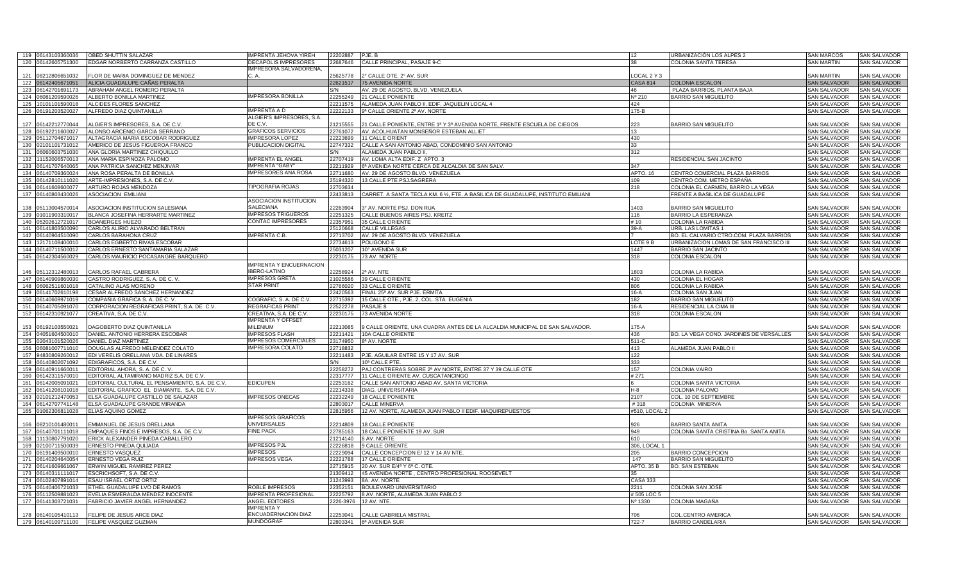|            | 119 06143103360036                   | <b>OBED SHUTTIN SALAZAR</b>                                       | IMPRENTA JEHOVA YIREH                         | 22202887             | PJE, B                                                                          | 12                  | URBANIZACIÓN LOS ALPES 2                | <b>SAN MARCOS</b>                          | <b>SAN SALVADOR</b>                        |
|------------|--------------------------------------|-------------------------------------------------------------------|-----------------------------------------------|----------------------|---------------------------------------------------------------------------------|---------------------|-----------------------------------------|--------------------------------------------|--------------------------------------------|
|            | 120 06142605751300                   | EDGAR NORBERTO CARRANZA CASTILLO                                  | DECAPOLIS IMPRESORES                          | 22687646             | CALLE PRINCIPAL, PASAJE 9-C                                                     | 38                  | COLONIA SANTA TERESA                    | <b>SAN MARTIN</b>                          | <b>SAN SALVADOR</b>                        |
|            |                                      |                                                                   | IMPRESORA SALVADOREÑA,                        |                      |                                                                                 |                     |                                         |                                            |                                            |
| 121        | 08212806651032                       | FLOR DE MARIA DOMINGUEZ DE MENDEZ                                 | C. A.                                         | 5625778              | " CALLE OTE. 2° AV. SUR                                                         | LOCAL 2 Y 3         |                                         | <b>SAN MARTIN</b>                          | <b>SAN SALVADOR</b>                        |
|            | 122 06142405671051                   | ALICIA GUADALUPE CAÑAS PERALTA                                    |                                               | 22621517             | <b>75 AVENIDA NORTE</b>                                                         | <b>CASA 814</b>     | <b>COLONIA ESCALON</b>                  | <b>SAN SALVADOR</b>                        | <b>SAN SALVADOR</b>                        |
|            | 123 06142701691173                   | ABRAHAM ANGEL ROMERO PERALTA                                      |                                               | S/N                  | AV. 29 DE AGOSTO, BLVD. VENEZUELA                                               | 46                  | PLAZA BARRIOS, PLANTA BAJA              | <b>SAN SALVADOR</b>                        | <b>SAN SALVADOR</b>                        |
| 124        | 06081209590026                       | ALBERTO BONILLA MARTINEZ                                          | <b>IMPRESORA BONILLA</b>                      | 22255249             | 21 CALLE PONIENTE                                                               | Nº 210              | <b>BARRIO SAN MIGUELITO</b>             | <b>SAN SALVADOR</b>                        | <b>SAN SALVADOR</b>                        |
| 125        | 10101101590018                       | ALCIDES FLORES SANCHEZ                                            |                                               | 22211575             | ALAMEDA JUAN PABLO II, EDIF. JAQUELIN LOCAL 4                                   | 424                 |                                         | <b>SAN SALVADOR</b>                        | <b>SAN SALVADOR</b>                        |
|            | 126 06191203520027                   | ALFREDO DIAZ QUINTANILLA                                          | <b>IMPRENTA A D</b>                           | 22222133             | 9ª CALLE ORIENTE 2ª AV. NORTE                                                   | 175-B               |                                         | <b>SAN SALVADOR</b>                        | SAN SALVADOR                               |
|            |                                      |                                                                   | ALGIER'S IMPRESORES, S.A.                     |                      |                                                                                 |                     |                                         |                                            |                                            |
| 127        | 06142212770044                       | ALGIER'S IMPRESORES, S.A. DE C.V.                                 | DE C.V.                                       | 1215555              | 21 CALLE PONIENTE, ENTRE 1ª Y 3ª AVENIDA NORTE, FRENTE ESCUELA DE CIEGOS        | 223                 | BARRIO SAN MIGUELITO                    | <b>SAN SALVADOR</b>                        | <b>SAN SALVADOR</b>                        |
|            | 128 06192211600027                   | ALONSO ARCENIO GARCIA SERRANO                                     | <b>GRAFICOS SERVICIOS</b>                     | 22761072             | AV. ACOLHUATAN MONSEÑOR ESTEBAN ALLIET                                          | 13                  |                                         | <b>SAN SALVADOR</b>                        | <b>SAN SALVADOR</b>                        |
| 129        | 05112704671017                       | ALTAGRACIA MARIA ESCOBAR RODRIGUEZ                                | <b>IMPRESORA LOPEZ</b><br>PUBLICACION DIGITAL | 22223699             | <b>11 CALLE ORIENT</b>                                                          | 430<br>33           |                                         | <b>SAN SALVADOR</b>                        | <b>SAN SALVADOR</b>                        |
| 130<br>131 | 02101101731012<br>06060603751030     | AMERICO DE JESUS FIGUEROA FRANCO<br>ANA GLORIA MARTINEZ CHIQUILLO |                                               | 22747332<br>S/N      | CALLE A SAN ANTONIO ABAD, CONDOMINIO SAN ANTONIO<br>ALAMEDA JUAN PABLO II,      | 312                 |                                         | <b>SAN SALVADOR</b><br><b>SAN SALVADOR</b> | <b>SAN SALVADOR</b><br><b>SAN SALVADOR</b> |
|            | 132 11152006570013                   | ANA MARIA ESPINOZA PALOMO                                         | <b>MPRENTA EL ANGEL</b>                       | 22707419             | AV. LOMA ALTA EDIF. Z APTO. 3                                                   |                     |                                         | <b>SAN SALVADOR</b>                        | <b>SAN SALVADOR</b>                        |
| 133        | 06141707640065                       | ANA PATRICIA SANCHEZ MENJIVAR                                     | <b>IMPRENTA "GABY"</b>                        | 22211929             | 6ª AVENIDA NORTE CERCA DE ALCALDIA DE SAN SALV                                  | 347                 | RESIDENCIAL SAN JACINTO                 | <b>SAN SALVADOR</b>                        | SAN SALVADOR                               |
| 134        | 06140709360024                       | ANA ROSA PERALTA DE BONILLA                                       | MPRESORES ANA ROSA                            | 22711680             | AV. 29 DE AGOSTO BLVD. VENEZUELA                                                | APTO, 16            | CENTRO COMERCIAL PLAZA BARRIOS          | <b>SAN SALVADOR</b>                        | <b>SAN SALVADOR</b>                        |
| 135        | 06142810111020                       | ARTE-IMPRESIONES, S.A. DE C.V.                                    |                                               | 25194320             | 13 CALLE PTE PSJ.SAGRERA                                                        | 109                 | CENTRO COM. METRO ESPAÑA                | <b>SAN SALVADOR</b>                        | <b>SAN SALVADOR</b>                        |
| 136        | 06141608600077                       | ARTURO ROJAS MENDOZA                                              | <b>TIPOGRAFIA ROJAS</b>                       | 22703634             |                                                                                 | 218                 | COLONIA EL CARMEN, BARRIO LA VEGA       | <b>SAN SALVADOR</b>                        | <b>SAN SALVADOR</b>                        |
|            | 137 06140803430026                   | <b>ASOCIACION EMILIANI</b>                                        |                                               | 22433813             | CARRET. A SANTA TECLA KM. 6 %, FTE. A BASILICA DE GUADALUPE, INSTITUTO EMILIANI |                     | FRENTE A BASILICA DE GUADALUPE          | <b>SAN SALVADOR</b>                        | <b>SAN SALVADOR</b>                        |
|            |                                      |                                                                   | ASOCIACION INSTITUCION                        |                      |                                                                                 |                     |                                         |                                            |                                            |
| 138        | 05113004570014                       | ASOCIACION INSTITUCION SALESIANA                                  | <b>SALECIANA</b>                              | 22263904             | 3° AV. NORTE PSJ. DON RUA                                                       | 1403                | <b>BARRIO SAN MIGUELITO</b>             | <b>SAN SALVADOR</b>                        | <b>SAN SALVADOR</b>                        |
|            | 139 01011903310017                   | BLANCA JOSEFINA HERRARTE MARTINEZ                                 | <b>IMPRESOS TRIGUEROS</b>                     | 22251325             | CALLE BUENOS AIRES PSJ. KREITZ                                                  | 116                 | BARRIO LA ESPERANZA                     | <b>SAN SALVADOR</b>                        | <b>SAN SALVADOR</b>                        |
| 140        | 05202612721017                       | <b>BOANERGES HUEZO</b>                                            | <b>CONTAC IMPRESORES</b>                      | 22357951             | 35 CALLE ORIENTE                                                                | #10                 | COLONIA LA RABIDA                       | SAN SALVADOR                               | SAN SALVADOR                               |
|            | 141 06141803500090                   | CARLOS ALIRIO ALVARADO BELTRAN                                    |                                               | 25120668             | <b>CALLE VILLEGAS</b>                                                           | 39-A                | URB. LAS LOMITAS 1                      | <b>SAN SALVADOR</b>                        | <b>SAN SALVADOR</b>                        |
|            | 142 06140904510090                   | CARLOS BARAHONA CRUZ                                              | <b>IMPRENTA C.B.</b>                          | 22713702             | AV. 29 DE AGOSTO BLVD. VENEZUELA                                                |                     | BO. EL CALVARIO CTRO.COM. PLAZA BARRIOS | <b>SAN SALVADOR</b>                        | <b>SAN SALVADOR</b>                        |
|            | 143 12171108400010                   | CARLOS EGBERTO RIVAS ESCOBAR                                      |                                               | 22734613             | POLIGONO E                                                                      | LOTE 9 B            | URBANIZACION LOMAS DE SAN FRANCISCO III | <b>SAN SALVADOR</b>                        | <b>SAN SALVADOR</b>                        |
| 144        | 06140711500012                       | CARLOS ERNESTO SANTAMARIA SALAZAR                                 |                                               | 25031207             | 10° AVENIDA SUR                                                                 | 1447                | <b>BARRIO SAN JACINTO</b>               | <b>SAN SALVADOR</b>                        | <b>SAN SALVADOR</b>                        |
|            | 145 06142304560029                   | CARLOS MAURICIO POCASANGRE BARQUERO                               |                                               | 22230175             | 73 AV. NORTE                                                                    | 318                 | COLONIA ESCALON                         | <b>SAN SALVADOR</b>                        | SAN SALVADOR                               |
|            |                                      |                                                                   | <b>IMPRENTA Y ENCUERNACION</b>                |                      |                                                                                 |                     |                                         |                                            |                                            |
| 146        | 05112312480013                       | CARLOS RAFAEL CABRERA                                             | <b>IBERO-LATINO</b>                           | 22258924             | 2ª AV. NTE                                                                      | 1803                | COLONIA LA RABIDA                       | <b>SAN SALVADOR</b>                        | <b>SAN SALVADOR</b>                        |
|            | 147 06140909860030                   | CASTRO RODRIGUEZ, S. A. DE C. V.                                  | <b>IMPRESOS GRETA</b>                         | 21025586             | 39 CALLE ORIENTE                                                                | 430                 | COLONIA EL HOGAR                        | <b>SAN SALVADOR</b>                        | SAN SALVADOR                               |
|            | 148 06062511601018                   | CATALINO ALAS MORENO                                              | <b>STAR PRINT</b>                             | 22766020             | 33 CALLE ORIENTE                                                                | 806                 | COLONIA LA RABIDA                       | <b>SAN SALVADOR</b>                        | <b>SAN SALVADOR</b>                        |
|            | 149 06141702610198                   | CESAR ALFREDO SANCHEZ HERNANDEZ                                   |                                               | 22420563             | FINAL 25ª AV. SUR PJE. ERMITA                                                   | $16-A$              | COLONIA SAN JUAN                        | <b>SAN SALVADOR</b>                        | <b>SAN SALVADOR</b>                        |
| 150        | 06140609971019                       | COMPAÑIA GRAFICA S. A. DE C. V.                                   | COGRAFIC, S. A. DE C.V.                       | 22715392             | 15 CALLE OTE., PJE. 2, COL. STA. EUGENIA                                        | 182                 | <b>BARRIO SAN MIGUELITO</b>             | <b>SAN SALVADOR</b>                        | SAN SALVADOR                               |
| 151        | 06140705091070                       | CORPORACION REGRAFICAS PRINT, S.A. DE C.V.                        | <b>REGRAFICAS PRINT</b>                       | 22522278             | PASAJE 8                                                                        | $16-A$              | RESIDENCIAL LA CIMA II                  | <b>SAN SALVADOR</b>                        | <b>SAN SALVADOR</b>                        |
| 152        | 06142310921077                       | CREATIVA, S.A. DE C.V.                                            | CREATIVA, S.A. DE C.V.                        | 22230175             | 73 AVENIDA NORTE                                                                | 318                 | COLONIA ESCALON                         | <b>SAN SALVADOR</b>                        | SAN SALVADOR                               |
|            |                                      |                                                                   | <b>IMPRENTA Y OFFSET</b>                      |                      |                                                                                 |                     |                                         |                                            |                                            |
| 153        | 06192103550021                       | DAGOBERTO DIAZ QUINTANILLA                                        | <b>MILENIUM</b>                               | 22213085             | 9 CALLE ORIENTE, UNA CUADRA ANTES DE LA ALCALDIA MUNICIPAL DE SAN SALVADOR      | 175-A               |                                         | <b>SAN SALVADOR</b>                        | <b>SAN SALVADOR</b>                        |
|            | 154 04051604500010                   | DANIEL ANTONIO HERRERA ESCOBAR                                    | <b>IMPRESOS FLASH</b>                         | 22211421             | 10A CALLE ORIENTE                                                               | 436                 | BO. LA VEGA COND. JARDINES DE VERSALLES | <b>SAN SALVADOR</b>                        | <b>SAN SALVADOR</b>                        |
| 155        | 02043101520026                       | DANIEL DIAZ MARTINEZ                                              | <b>IMPRESOS COMERCIALES</b>                   | 23174950             | 8ª AV. NORTE                                                                    | 511-C               |                                         | <b>SAN SALVADOR</b>                        | <b>SAN SALVADOR</b>                        |
| 156        | 06081007711010                       | DOUGLAS ALFREDO MELENDEZ COLATO                                   | <b>IMPRESORA COLATO</b>                       | 22718832             |                                                                                 | 413                 | ALAMEDA JUAN PABLO II                   | <b>SAN SALVADOR</b>                        | <b>SAN SALVADOR</b>                        |
| 157        | 94830809260012                       | EDI VERELIS ORELLANA VDA. DE LINARES                              |                                               | 22211483             | PJE. AGUILAR ENTRE 15 Y 17 AV. SUR                                              | 122                 |                                         | <b>SAN SALVADOR</b>                        | SAN SALVADOR                               |
|            | 158 06140802071092                   | EDIGRAFICOS, S.A. DE C.V.                                         |                                               | S/N                  | 10 <sup>a</sup> CALLE PTE.                                                      | 333                 |                                         | <b>SAN SALVADOR</b>                        | SAN SALVADOR                               |
| 159        | 06140911660011                       | EDITORIAL AHORA, S. A. DE C. V                                    |                                               | 22258272             | PAJ CONTRERAS SOBRE 2ª AV NORTE, ENTRE 37 Y 39 CALLE OTE                        | 157                 | <b>COLONIA VAIRO</b>                    | <b>SAN SALVADOR</b>                        | <b>SAN SALVADOR</b>                        |
| 160        | 06142311570010                       | EDITORIAL ALTAMIRANO MADRIZ S.A. DE C.V.                          |                                               | 22317777             | 11 CALLE ORIENTE AV. CUSCATANCINGO                                              | #271                |                                         | <b>SAN SALVADOR</b>                        | <b>SAN SALVADOR</b>                        |
| 161        | 06142005091021                       | EDITORIAL CULTURAL EL PENSAMIENTO, S.A. DE C.V.                   | <b>EDICUPEN</b>                               | 22253162             | CALLE SAN ANTONIO ABAD AV. SANTA VICTORIA                                       |                     | COLONIA SANTA VICTORIA                  | <b>SAN SALVADOR</b>                        | <b>SAN SALVADOR</b>                        |
|            | 162 06141208101018                   | EDITORIAL GRAFICO EL DIAMANTE, S.A. DE C.V.                       |                                               | 22214338             | DIAG. UNIVERSITARIA                                                             | $H-8$               | COLONIA PALOMO                          | <b>SAN SALVADOR</b>                        | <b>SAN SALVADOR</b>                        |
| 163        | 02101212470053                       | ELSA GUADALUPE CASTILLO DE SALAZAR                                | MPRESOS ONECAS                                | 22232249             | <b>18 CALLE PONIENTE</b>                                                        | 2107                | COL. 10 DE SEPTIEMBRE                   | <b>SAN SALVADOR</b>                        | <b>SAN SALVADOR</b>                        |
|            | 164 06142707741148                   | ELSA GUADALUPE GRANDE MIRANDA                                     |                                               | 22803017             | <b>CALLE MINERVA</b>                                                            | #318                | COLONIA MINERVA                         | <b>SAN SALVADOR</b>                        | SAN SALVADOR                               |
| 165        | 01062306811028                       | ELIAS AQUINO GOMEZ                                                |                                               | 22815956             | 12 AV. NORTE, ALAMEDA JUAN PABLO II EDIF. MAQUIREPUESTOS                        | #510, LOCAL 2       |                                         | <b>SAN SALVADOR</b>                        | <b>SAN SALVADOR</b>                        |
|            |                                      |                                                                   | <b>IMPRESOS GRAFICOS</b>                      |                      |                                                                                 |                     |                                         |                                            |                                            |
| 166        | 08210101480011<br>167 06140701111018 | EMMANUEL DE JESUS ORELLANA                                        | <b>JNIVERSALES</b><br><b>INE PACK</b>         | 22214809<br>22785163 | <b>18 CALLE PONIENTE</b>                                                        | 949                 | <b>BARRIO SANTA ANITA</b>               | <b>SAN SALVADOR</b><br><b>SAN SALVADOR</b> | <b>SAN SALVADOR</b><br><b>SAN SALVADOR</b> |
|            | 168 11130807791020                   | EMPAQUES FINOS E IMPRESOS, S.A. DE C.V.                           |                                               | 21214140             | 18 CALLE PONIENTE 19 AV. SUR                                                    |                     | COLONIA SANTA CRISTINA Bo. SANTA ANITA  | <b>SAN SALVADOR</b>                        | <b>SAN SALVADOR</b>                        |
| 169        | 02100711500039                       | ERICK ALEXANDER PINEDA CABALLERO<br><b>ERNESTO PINEDA QUIJADA</b> | <b>MPRESOS PJL</b>                            | 22226818             | 8 AV. NORTE<br>9 CALLE ORIENTE                                                  | 610<br>306. LOCAL 1 |                                         | <b>SAN SALVADOR</b>                        | <b>SAN SALVADOR</b>                        |
| 170        | 06191409500010                       | ERNESTO VASQUEZ                                                   | <b>IMPRESOS</b>                               | 22229094             | CALLE CONCEPCION E/ 12 Y 14 AV NTE                                              | 205                 | <b>BARRIO CONCEPCION</b>                | <b>SAN SALVADOR</b>                        | SAN SALVADOR                               |
| 171        | 06140204640054                       | ERNESTO VEGA RUIZ                                                 | <b>IMPRESOS VEGA</b>                          | 22221788             | 17 CALLE ORIENTE                                                                | 147                 | <b>BARRIO SAN MIGUELITO</b>             | <b>SAN SALVADOR</b>                        | SAN SALVADOR                               |
|            | 172 06141609661067                   | ERWIN MIGUEL RAMIREZ PEREZ                                        |                                               | 22715915             | 20 AV. SUR E/4ª Y 6ª C. OTE.                                                    | APTO. 35 B          | <b>BO. SAN ESTEBAN</b>                  | <b>SAN SALVADOR</b>                        | <b>SAN SALVADOR</b>                        |
|            | 173 06140311111017                   | ESCRICHSOFT, S.A. DE C.V.                                         |                                               | 21309412             | 45 AVENIDA NORTE, CENTRO PROFESIONAL ROOSEVELT                                  | 35                  |                                         | <b>SAN SALVADOR</b>                        | SAN SALVADOR                               |
|            | 174 06102407891014                   | ESAU ISRAEL ORTIZ ORTIZ                                           |                                               | 21243993             | 8A. AV. NORTE                                                                   | <b>CASA 333</b>     |                                         | <b>SAN SALVADOR</b>                        | SAN SALVADOR                               |
| 175        | 06140406721033                       | ETHEL GUADALUPE LVO DE RAMOS                                      | <b>ROBLE IMPRESOS</b>                         | 22352151             | BOULEVARD UNIVERSITARIO                                                         | 2211                | COLONIA SAN JOSE                        | <b>SAN SALVADOR</b>                        | SAN SALVADOR                               |
| 176        | 05112509881023                       | EVELIA ESMERALDA MENDEZ INOCENTE                                  | <b>IMPRENTA PROFESIONAL</b>                   | 22225792             | 8 AV. NORTE, ALAMEDA JUAN PABLO 2                                               | #505 LOC 5          |                                         | <b>SAN SALVADOR</b>                        | SAN SALVADOR                               |
|            | 177 06141303721031                   | FABRICIO JAVIER ANGEL HERNANDEZ                                   | ANGEL EDITORES                                | 2226-3976            | 12 AV. NTE.                                                                     | Nº 1330             | COLONIA MAGAÑA                          | <b>SAN SALVADOR</b>                        | SAN SALVADOR                               |
|            |                                      |                                                                   | <b>MPRENTA Y</b>                              |                      |                                                                                 |                     |                                         |                                            |                                            |
| 178        | 06140105410113                       | FELIPE DE JESUS ARCE DIAZ                                         | ENCUADERNACION DIAZ                           | 22253041             | <b>CALLE GABRIELA MISTRAL</b>                                                   |                     | COL.CENTRO AMERICA                      | <b>SAN SALVADOR</b>                        | SAN SALVADOR                               |
|            | 179 06140109711100                   | FELIPE VASQUEZ GUZMAN                                             | <b>MUNDOGRAF</b>                              | 22803341             | 6ª AVENIDA SUR                                                                  | 722-7               | <b>BARRIO CANDELARIA</b>                | <b>SAN SALVADOR</b>                        | <b>SAN SALVADOR</b>                        |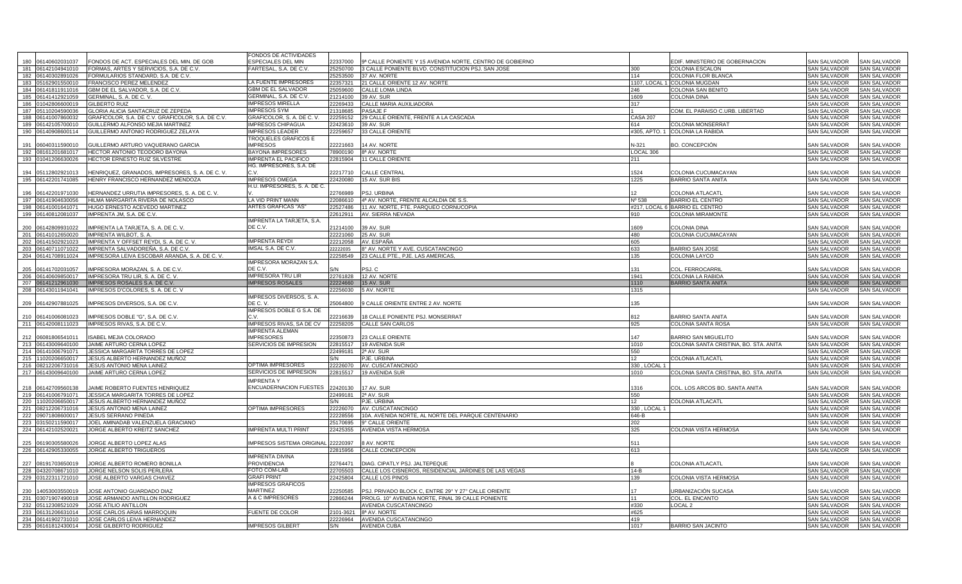|     |                    |                                                   | FONDOS DE ACTIVIDADES            |           |                                                          |                 |                                        |                     |                     |
|-----|--------------------|---------------------------------------------------|----------------------------------|-----------|----------------------------------------------------------|-----------------|----------------------------------------|---------------------|---------------------|
| 180 | 06140602031037     | FONDOS DE ACT. ESPECIALES DEL MIN. DE GOB         | <b>ESPECIALES DEL MIN</b>        | 22337000  | 9ª CALLE PONIENTE Y 15 AVENIDA NORTE. CENTRO DE GOBIERNO |                 | EDIF, MINISTERIO DE GOBERNACION        | <b>SAN SALVADOR</b> | <b>SAN SALVADOR</b> |
|     | 181 06142104941010 | FORMAS, ARTES Y SERVICIOS, S.A. DE C.V.           | FARTESAL, S.A. DE C.V            | 25250700  | 3 CALLE PONIENTE BLVD. CONSTITUCION PSJ. SAN JOSE        | 300             | COLONIA ESCALON                        | <b>SAN SALVADOR</b> | <b>SAN SALVADOR</b> |
|     | 182 06140302891026 | FORMULARIOS STANDARD, S.A. DE C.V.                |                                  | 25253500  | 37 AV, NORTE                                             | 114             | <b>COLONIA FLOR BLANCA</b>             | <b>SAN SALVADOR</b> | <b>SAN SALVADOR</b> |
|     | 183 05162901550010 | FRANCISCO PEREZ MELENDEZ                          | LA FUENTE IMPRESORES             | 22357321  | 21 CALLE ORIENTE 12 AV. NORTE                            | 1107, LOCAL 1   | COLONIA MUGDAN                         | <b>SAN SALVADOR</b> | <b>SAN SALVADOR</b> |
|     | 184 06141811911016 | <b>GBM DE EL SALVADOR, S.A. DE C.V.</b>           | <b>GBM DE EL SALVADOR</b>        | 25059600  | <b>CALLE LOMA LINDA</b>                                  | 246             | COLONIA SAN BENITO                     | <b>SAN SALVADOR</b> | <b>SAN SALVADOR</b> |
|     | 185 06141412921059 | GERMINAL, S. A. DE C. V.                          | GERMINAL, S.A. DE C.V.           | 21214100  | 39 AV. SUR                                               | 1609            | <b>COLONIA DINA</b>                    | <b>SAN SALVADOR</b> | <b>SAN SALVADOR</b> |
|     | 186 01042806600019 | GILBERTO RUIZ                                     | <b>IMPRESOS MIRELLA</b>          | 22269433  | CALLE MARIA AUXILIADORA                                  | 317             |                                        | <b>SAN SALVADOR</b> | <b>SAN SALVADOR</b> |
| 187 | 05110204590036     | <b>GLORIA ALICIA SANTACRUZ DE ZEPEDA</b>          | <b>IMPRESOS SYM</b>              | 21318685  | <b>PASAJE F</b>                                          |                 | COM, EL PARAISO C.URB, LIBERTAD        | <b>SAN SALVADOR</b> | <b>SAN SALVADOR</b> |
|     | 188 06141007860032 | GRAFICOLOR, S.A. DE C.V. GRAFICOLOR, S.A. DE C.V. | GRAFICOLOR, S. A. DE C. V.       | 22259152  | 29 CALLE ORIENTE, FRENTE A LA CASCADA                    | <b>CASA 207</b> |                                        | <b>SAN SALVADOR</b> | <b>SAN SALVADOR</b> |
|     | 189 06142105700010 | <b>GUILLERMO ALFONSO MEJIA MARTINEZ</b>           | <b>IMPRESOS CHIPAGUA</b>         | 22423610  | 39 AV. SUR                                               | 614             | <b>COLONIA MONSERRAT</b>               | <b>SAN SALVADOR</b> | <b>SAN SALVADOR</b> |
|     | 190 06140908600114 | GUILLERMO ANTONIO RODRIGUEZ ZELAYA                | <b>IMPRESOS LEADER</b>           | 22259657  | 33 CALLE ORIENTE                                         | #305, APTO. 1   | <b>COLONIA LA RABIDA</b>               | <b>SAN SALVADOR</b> | <b>SAN SALVADOR</b> |
|     |                    |                                                   | TROQUELES GRAFICOS E             |           |                                                          |                 |                                        |                     |                     |
| 191 | 06040311590010     | GUILLERMO ARTURO VAQUERANO GARCIA                 | <b>IMPRESOS</b>                  | 22221663  | 14 AV. NORTE                                             | N-321           | BO. CONCEPCIÓN                         | <b>SAN SALVADOR</b> | <b>SAN SALVADOR</b> |
|     | 192 08161201681017 | HECTOR ANTONIO TEODORO BAYONA                     | <b>BAYONA IMPRESORES</b>         | 78900190  | 8ª AV. NORTE                                             | LOCAL 306       |                                        | <b>SAN SALVADOR</b> | <b>SAN SALVADOR</b> |
|     | 193 01041206630026 | HECTOR ERNESTO RUIZ SILVESTRE                     | <b>IMPRENTA EL PACIFICO</b>      | 22815904  | 11 CALLE ORIENTE                                         | 211             |                                        | SAN SALVADOR        | <b>SAN SALVADOR</b> |
|     |                    |                                                   | HG. IMPRESORES, S.A. DE          |           |                                                          |                 |                                        |                     |                     |
|     | 194 05112802921013 | HENRIQUEZ, GRANADOS, IMPRESORES, S. A. DE C. V.   |                                  | 2217710   | <b>CALLE CENTRAL</b>                                     | 524             | <b>CLONIA CUCUMACAYAN</b>              | <b>AN SALVADOR</b>  | <b>SAN SALVADOR</b> |
|     | 195 06142201741085 | HENRY FRANCISCO HERNANDEZ MENDOZA                 | <b>IMPRESOS OMEGA</b>            | 22420080  | 15 AV. SUR BIS                                           | 1225            | BARRIO SANTA ANITA                     | <b>SAN SALVADOR</b> | <b>SAN SALVADOR</b> |
|     |                    |                                                   | H.U. IMPRESORES, S. A. DE C.     |           |                                                          |                 |                                        |                     |                     |
|     | 196 06142201971030 | HERNANDEZ URRUTIA IMPRESORES, S. A. DE C. V.      |                                  | 22766989  | PSJ. URBINA                                              |                 | COLONIA ATLACATL                       | <b>SAN SALVADOR</b> | <b>SAN SALVADOR</b> |
|     | 197 06141904630056 | HILMA MARGARITA RIVERA DE NOLASCO                 | LA VID PRINT MANN                | 22086610  | 4ª AV. NORTE. FRENTE ALCALDIA DE S.S.                    | Nº 538          | <b>BARRIO EL CENTRO</b>                | <b>SAN SALVADOR</b> | <b>SAN SALVADOR</b> |
|     | 198 06141001641071 | HUGO ERNESTO ACEVEDO MARTINEZ                     | <b>ARTES GRAFICAS "AS"</b>       | 22527486  | 11 AV. NORTE, FTE. PARQUEO CORNUCOPIA                    | #217, LOCAL 6   | <b>BARRIO EL CENTRO</b>                | <b>SAN SALVADOR</b> | <b>SAN SALVADOR</b> |
|     | 199 06140812081037 | IMPRENTA JM, S.A. DE C.V.                         |                                  | 22612911  | AV. SIERRA NEVADA                                        | 910             | COLONIA MIRAMONTE                      | <b>SAN SALVADOR</b> | <b>SAN SALVADOR</b> |
|     |                    |                                                   | IMPRENTA LA TARJETA, S.A.        |           |                                                          |                 |                                        |                     |                     |
|     | 200 06142809931022 | MPRENTA LA TARJETA, S. A. DE C. V.                | DE C.V.                          | 21214100  | 39 AV, SUR                                               | 1609            | COLONIA DINA                           | <b>SAN SALVADOR</b> | <b>SAN SALVADOR</b> |
|     | 201 06141012650020 | IMPRENTA WILBOT, S. A.                            |                                  | 22221060  | 25 AV. SUR                                               | 480             | COLONIA CUCUMACAYAN                    | <b>SAN SALVADOR</b> | <b>SAN SALVADOR</b> |
|     | 202 06141502921023 | MPRENTA Y OFFSET REYDI, S. A. DE C. V             | <b>IMPRENTA REYDI</b>            | 22212058  | AV. ESPAÑA                                               | 605             |                                        | <b>SAN SALVADOR</b> | <b>SAN SALVADOR</b> |
|     | 203 06140711071022 | MPRENTA SALVADOREÑA, S.A. DE C.V.                 | IMSAL S.A. DE C.V.               | 22222035  | 8° AV. NORTE Y AVE. CUSCATANCINGO                        | 633             | <b>BARRIO SAN JOSE</b>                 | <b>SAN SALVADOR</b> | <b>SAN SALVADOR</b> |
|     | 204 06141708911024 | IMPRESORA LEIVA ESCOBAR ARANDA, S. A. DE C. V.    |                                  | 22258549  | 23 CALLE PTE., PJE. LAS AMERICAS                         | 135             | COLONIA LAYCO                          | SAN SALVADOR        | <b>SAN SALVADOR</b> |
|     |                    |                                                   | IMPRESORA MORAZAN S.A.           |           |                                                          |                 |                                        |                     |                     |
| 205 | 06141702031057     | <b>MPRESORA MORAZAN, S. A. DE C.V.</b>            | DE C.V                           |           | PSJ.C                                                    | 131             | COL. FERROCARRIL                       | <b>SAN SALVADOR</b> | <b>SAN SALVADOR</b> |
|     | 206 06140609850017 | MPRESORA TRU LIR, S. A. DE C. V.                  | <b>IMPRESORA TRU LIR</b>         | 22761828  | 12 AV. NORTE                                             | 1941            | COLONIA LA RABIDA                      | SAN SALVADOR        | <b>SAN SALVADOR</b> |
|     | 207 06141212961030 | MPRESOS ROSALES S.A. DE C.V.                      | <b>IMPRESOS ROSALES</b>          | 22224660  | <b>15 AV. SUR</b>                                        | 1110            | <b>BARRIO SANTA ANITA</b>              | <b>SAN SALVADOR</b> | <b>SAN SALVADOR</b> |
|     | 208 06143011941041 | MPRESOS D'COLORES, S. A. DE C. V                  |                                  | 22256030  | 5 AV. NORTE                                              | 1315            |                                        | SAN SALVADOR        | <b>SAN SALVADOR</b> |
|     |                    |                                                   | IMPRESOS DIVERSOS, S. A          |           |                                                          |                 |                                        |                     |                     |
| 209 | 06142907881025     | MPRESOS DIVERSOS, S.A. DE C.V.                    | DE C.V.                          | 25064800  | 9 CALLE ORIENTE ENTRE 2 AV. NORTE                        | 135             |                                        | <b>SAN SALVADOR</b> | <b>SAN SALVADOR</b> |
|     |                    |                                                   | IMPRESOS DOBLE G S.A. DE         |           |                                                          |                 |                                        |                     |                     |
| 210 | 06141006081023     | MPRESOS DOBLE "G", S.A. DE C.V.                   | C.V.                             | 22216639  | 8 CALLE PONIENTE PSJ. MONSERRAT                          | 812             | <b>BARRIO SANTA ANITA</b>              | <b>SAN SALVADOR</b> | <b>SAN SALVADOR</b> |
|     | 211 06142008111023 | IMPRESOS RIVAS, S.A. DE C.V.                      | <b>IMPRESOS RIVAS, SA DE CV</b>  | 22258205  | CALLE SAN CARLOS                                         | 925             | COLONIA SANTA ROSA                     | SAN SALVADOR        | <b>SAN SALVADOR</b> |
|     |                    |                                                   | <b>IMPRENTA ALEMAN</b>           |           |                                                          |                 |                                        |                     |                     |
| 212 | 06081806541011     | SABEL MEJIA COLORADO                              | <b>IMPRESORES</b>                | 22350873  | 23 CALLE ORIENTE                                         | 147             | <b>BARRIO SAN MIGUELITO</b>            | SAN SALVADOR        | SAN SALVADOR        |
|     | 213 06143009640100 | JAIME ARTURO CERNA LOPEZ                          | SERVICIOS DE IMPRESION           | 22815517  | <b>19 AVENIDA SUR</b>                                    | 1010            | COLONIA SANTA CRISTINA, BO, STA, ANITA | <b>SAN SALVADOR</b> | <b>SAN SALVADOR</b> |
|     | 214 06141006791071 | JESSICA MARGARITA TORRES DE LOPEZ                 |                                  | 22499181  | 2ª AV. SUR                                               | 550             |                                        | <b>SAN SALVADOR</b> | <b>SAN SALVADOR</b> |
|     | 215 11020206650017 | JESUS ALBERTO HERNANDEZ MUÑOZ                     |                                  | S/N       | PJE. URBINA                                              | 12              | COLONIA ATLACATL                       | <b>SAN SALVADOR</b> | <b>SAN SALVADOR</b> |
|     | 216 08212206731016 | JESUS ANTONIO MENA LAINEZ                         | <b>OPTIMA IMPRESORES</b>         | 22226070  | AV. CUSCATANCINGO                                        | 330 . LOCAL 1   |                                        | <b>SAN SALVADOR</b> | <b>SAN SALVADOR</b> |
|     | 217 06143009640100 | JAIME ARTURO CERNA LOPEZ                          | SERVICIOS DE IMPRESION           | 22815517  | 19 AVENIDA SUR                                           | 1010            | COLONIA SANTA CRISTINA, BO, STA, ANITA | <b>SAN SALVADOR</b> | <b>SAN SALVADOR</b> |
|     |                    |                                                   | <b>IMPRENTA Y</b>                |           |                                                          |                 |                                        |                     |                     |
|     | 218 06142709560138 | JAIME ROBERTO FUENTES HENRIQUEZ                   | ENCUADERNACION FUESTES           | 22420130  | 17 AV. SUR                                               | 1316            | COL. LOS ARCOS BO, SANTA ANITA         | <b>SAN SALVADOR</b> | <b>SAN SALVADOR</b> |
|     | 219 06141006791071 | JESSICA MARGARITA TORRES DE LOPEZ                 |                                  | 22499181  | 2ª AV. SUR                                               | 550             |                                        | <b>SAN SALVADOR</b> | <b>SAN SALVADOR</b> |
|     | 220 11020206650017 | JESUS ALBERTO HERNANDEZ MUÑOZ                     |                                  | S/N       | PJE, URBINA                                              | 12              | <b>COLONIA ATLACATL</b>                | <b>SAN SALVADOR</b> | <b>SAN SALVADOR</b> |
|     | 221 08212206731016 | JESUS ANTONIO MENA LAINEZ                         | OPTIMA IMPRESORES                | 22226070  | AV. CUSCATANCINGO                                        | 330 . LOCAL 1   |                                        | <b>SAN SALVADOR</b> | <b>SAN SALVADOR</b> |
|     | 222 09071808600017 | JESUS SERRANO PINEDA                              |                                  | 22228556  | 10A. AVENIDA NORTE, AL NORTE DEL PARQUE CENTENARIO       | 646-B           |                                        | SAN SALVADOR        | <b>SAN SALVADOR</b> |
|     | 223 03150211590017 | JOEL AMINADAB VALENZUELA GRACIANO                 |                                  | 25170695  | 9° CALLE ORIENTE                                         | 202             |                                        | <b>SAN SALVADOR</b> | SAN SALVADOR        |
|     | 224 06142102520021 | JORGE ALBERTO KREITZ SANCHEZ                      | <b>IMPRENTA MULTI PRINT</b>      | 22425355  | AVENIDA VISTA HERMOSA                                    | 325             | COLONIA VISTA HERMOSA                  | <b>SAN SALVADOR</b> | <b>SAN SALVADOR</b> |
|     |                    |                                                   |                                  |           |                                                          |                 |                                        |                     |                     |
| 225 | 06190305580026     | JORGE ALBERTO LOPEZ ALAS                          | <b>IMPRESOS SISTEMA ORIGINAL</b> | 22220397  | 8 AV. NORTE                                              |                 |                                        | <b>SAN SALVADOR</b> | <b>SAN SALVADOR</b> |
|     | 226 06142905330055 | JORGE ALBERTO TRIGUEROS                           |                                  | 22815956  | <b>CALLE CONCEPCION</b>                                  | 613             |                                        | <b>SAN SALVADOR</b> | <b>SAN SALVADOR</b> |
|     |                    |                                                   | <b>IMPRENTA DIVINA</b>           |           |                                                          |                 |                                        |                     |                     |
| 227 | 08191703650019     | JORGE ALBERTO ROMERO BONILLA                      | <b>PROVIDENCIA</b>               | 22764471  | DIAG. CIPATLY PSJ. JALTEPEQUE                            |                 | COLONIA ATLACATL                       | <b>SAN SALVADOR</b> | <b>SAN SALVADOR</b> |
|     | 228 04320708671010 | JORGE NELSON SOLIS PERLERA                        | FOTO COM-LAB                     | 22705503  | CALLE LOS CISNEROS, RESIDENCIAL JARDINES DE LAS VEGAS    | $14-B$          |                                        | SAN SALVADOR        | <b>SAN SALVADOR</b> |
|     | 229 03122311721010 | JOSE ALBERTO VARGAS CHAVEZ                        | <b>GRAFI PRINT</b>               | 22425804  | <b>CALLE LOS PINOS</b>                                   | 139             | COLONIA VISTA HERMOSA                  | <b>SAN SALVADOR</b> | <b>SAN SALVADOR</b> |
|     |                    |                                                   | <b>IMPRESOS GRAFICOS</b>         |           |                                                          |                 |                                        |                     |                     |
| 230 | 14053003550019     | JOSE ANTONIO GUARDADO DIAZ                        | <b>MARTINEZ</b>                  | 22250585  | PSJ. PRIVADO BLOCK C, ENTRE 29° Y 27° CALLE ORIENTE      |                 | JRBANIZACIÓN SUCASA                    | <b>SAN SALVADOR</b> | <b>SAN SALVADOR</b> |
|     | 231 03071907490018 | JOSE ARMANDO ANTILLON RODRIGUEZ                   | A & C IMPRESORES                 | 22866244  | PROLG. 10° AVENIDA NORTE, FINAL 39 CALLE PONIENTE        | 111             | COL. EL ENCANTO                        | SAN SALVADOR        | <b>SAN SALVADOR</b> |
|     | 232 05112308521029 | JOSE ATILIO ANTILLON                              |                                  |           | AVENIDA CUSCATANCINGO                                    | #330            | LOCAL <sub>2</sub>                     | <b>SAN SALVADOR</b> | <b>SAN SALVADOR</b> |
|     | 233 06131206631014 | JOSE CARLOS ARIAS MARROQUIN                       | FUENTE DE COLOR                  | 2101-3621 | 8ª AV. NORTE                                             | #625            |                                        | <b>SAN SALVADOR</b> | <b>SAN SALVADOR</b> |
|     | 234 06141902731010 | JOSE CARLOS LEIVA HERNANDEZ                       |                                  | 22226964  | AVENIDA CUSCATANCINGO                                    | 419             |                                        | <b>SAN SALVADOR</b> | <b>SAN SALVADOR</b> |
|     | 235 06161812430014 | JOSE GILBERTO RODRIGUEZ                           | <b>IMPRESOS GILBERT</b>          | S/N       | <b>AVENIDA CUBA</b>                                      | 1017            | <b>BARRIO SAN JACINTO</b>              | SAN SALVADOR        | <b>SAN SALVADOR</b> |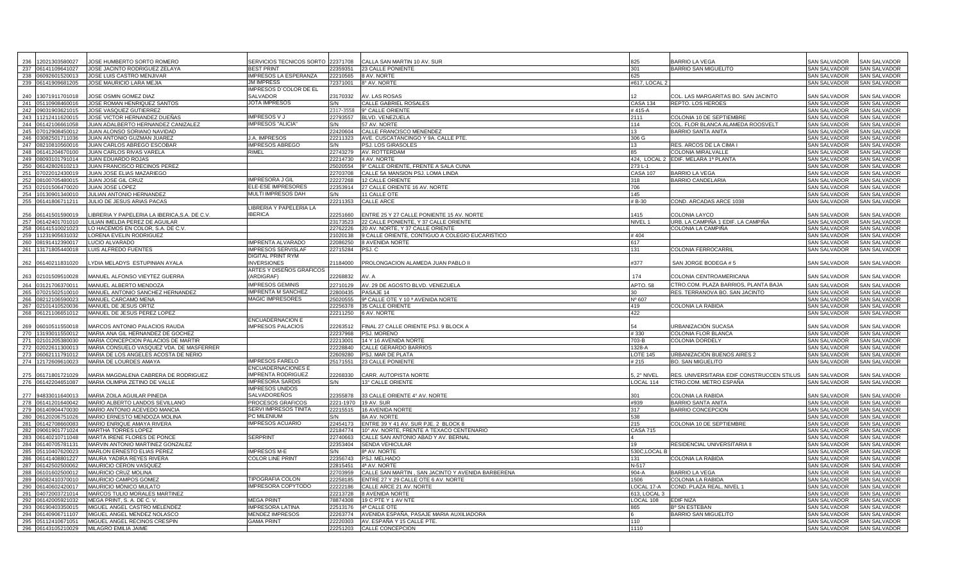| 236 | 12021303580027                           | JOSE HUMBERTO SORTO ROMERO                                  | SERVICIOS TECNICOS SORTO 22371708             | CALLA SAN MARTIN 10 AV. SUR                                   | 825              | <b>BARRIO LA VEGA</b>                               | <b>SAN SALVADOR</b>                        | <b>SAN SALVADOR</b>                        |
|-----|------------------------------------------|-------------------------------------------------------------|-----------------------------------------------|---------------------------------------------------------------|------------------|-----------------------------------------------------|--------------------------------------------|--------------------------------------------|
|     | 237 06141109641027                       | JOSE JACINTO RODRIGUEZ ZELAYA                               | <b>BEST PRINT</b>                             | 22359351<br>23 CALLE PONIENTE                                 | 301              | BARRIO SAN MIGUELITO                                | <b>SAN SALVADOR</b>                        | <b>SAN SALVADOR</b>                        |
|     | 238 06092601520013                       | JOSE LUIS CASTRO MENJIVAR                                   | IMPRESOS LA ESPERANZA                         | 8 AV. NORTE<br>22210565                                       | 625              |                                                     | <b>SAN SALVADOR</b>                        | <b>SAN SALVADOR</b>                        |
|     | 239 06141909681205                       | JOSE MAURICIO LARA MEJIA                                    | <b>JM IMPRESS</b>                             | 72371001<br>8° AV. NORTE                                      | #617, LOCAL 2    |                                                     | <b>SAN SALVADOR</b>                        | <b>SAN SALVADOR</b>                        |
|     |                                          |                                                             | <b>IMPRESOS D'COLOR DE EL</b>                 |                                                               |                  |                                                     |                                            |                                            |
| 240 | 13071911701018                           | OSE OSMIN GOMEZ DIAZ                                        | SALVADOR                                      | 23170332<br>AV. LAS ROSAS                                     |                  | COL. LAS MARGARITAS BO. SAN JACINTO                 | <b>SAN SALVADOR</b>                        | <b>SAN SALVADOR</b>                        |
|     | 241 05110908460016                       | JOSE ROMAN HENRIQUEZ SANTOS                                 | <b>JOTA IMPRESOS</b>                          | CALLE GABRIEL ROSALES<br>S/N                                  | <b>CASA 134</b>  | <b>REPTO, LOS HEROES</b>                            | SAN SALVADOR                               | SAN SALVADOR                               |
|     | 242 09031903621015                       | JOSE VASQUEZ GUTIERREZ                                      |                                               | 9° CALLE ORIENTE<br>2317-3558                                 | #415-A           |                                                     | <b>SAN SALVADOR</b>                        | <b>SAN SALVADOR</b>                        |
|     | 243 11212411620015                       | JOSE VICTOR HERNANDEZ DUEÑAS                                | <b>IMPRESOS V J</b>                           | 22793557<br>BLVD. VENEZUELA                                   | 2111             | COLONIA 10 DE SEPTIEMBRE                            | SAN SALVADOR                               | <b>SAN SALVADOR</b>                        |
|     | 244 06142106661058                       | JUAN ADALBERTO HERNANDEZ CANIZALEZ                          | <b>IMPRESOS "ALICIA"</b>                      | S/N<br>57 AV. NORTE                                           | 114<br>13        | COL. FLOR BLANCA ALAMEDA ROOSVELT                   | <b>SAN SALVADOR</b>                        | <b>SAN SALVADOR</b>                        |
|     | 245 07012908450012                       | JUAN ALONSO SORIANO NAVIDAD                                 | <b>J.A. IMPRESOS</b>                          | 22420604<br>CALLE FRANCISCO MENENDEZ                          |                  | BARRIO SANTA ANITA                                  | <b>SAN SALVADOR</b>                        | <b>SAN SALVADOR</b>                        |
|     | 246 03082501711036<br>247 08210810560016 | JUAN ANTONIO GUZMAN JUAREZ                                  | <b>IMPRESOS ABREGO</b>                        | 22211323<br>AVE. CUSCATANCINGO Y 9A. CALLE PTE.               | 306 G            |                                                     | <b>SAN SALVADOR</b>                        | <b>SAN SALVADOR</b>                        |
|     | 248 06141204670100                       | JUAN CARLOS ABREGO ESCOBAR<br>JUAN CARLOS RIVAS VARELA      | RIMEL                                         | S/N<br>PSJ. LOS GIRASOLES<br>22743279<br>AV. ROTTERDAM        | 13<br>85         | RES. ARCOS DE LA CIMA I<br>COLONIA MIRALVALLE       | <b>SAN SALVADOR</b><br><b>SAN SALVADOR</b> | <b>SAN SALVADOR</b><br><b>SAN SALVADOR</b> |
|     | 249 08093101791014                       | <b>JUAN EDUARDO ROJAS</b>                                   |                                               | 22214730<br>4 AV. NORTE                                       | 424. LOCAL 2     | EDIF. MELARA 1ª PLANTA                              | SAN SALVADOR                               | <b>SAN SALVADOR</b>                        |
|     | 250 06142802610213                       | JUAN FRANCISCO RECINOS PEREZ                                |                                               | 25020554<br>9° CALLE ORIENTE, FRENTE A SALA CUNA              | 273 L-1          |                                                     | <b>SAN SALVADOR</b>                        | <b>SAN SALVADOR</b>                        |
|     | 251 07022012430019                       | JUAN JOSE ELIAS MAZARIEGO                                   |                                               | CALLE 5A MANSION PSJ. LOMA LINDA<br>22703708                  | <b>CASA 107</b>  | <b>BARRIO LA VEGA</b>                               | <b>SAN SALVADOR</b>                        | <b>SAN SALVADOR</b>                        |
|     | 252 08100705480015                       | JUAN JOSE GIL CRUZ                                          | <b>IMPRESORA J GIL</b>                        | 22227268<br>12 CALLE ORIENTE                                  | 318              | <b>BARRIO CANDELARIA</b>                            | <b>SAN SALVADOR</b>                        | <b>SAN SALVADOR</b>                        |
|     | 253 02101506470020                       | JUAN JOSE LOPEZ                                             | ELE-ESE IMPRESORES                            | 27 CALLE ORIENTE 16 AV. NORTE<br>22353914                     | 706              |                                                     | <b>SAN SALVADOR</b>                        | <b>SAN SALVADOR</b>                        |
|     | 254 10130901340010                       | <b>JULIAN ANTONIO HERNANDEZ</b>                             | MULTI IMPRESOS DAH                            | 11 CALLE OTE<br>S/N                                           | 145              |                                                     | SAN SALVADOR                               | <b>SAN SALVADOR</b>                        |
|     | 255 06141806711211                       | JULIO DE JESUS ARIAS PACAS                                  |                                               | 22211353<br><b>CALLE ARCE</b>                                 | # B-30           | COND. ARCADAS ARCE 1038                             | SAN SALVADOR                               | <b>SAN SALVADOR</b>                        |
|     |                                          |                                                             | LIBRERIA Y PAPELERIA LA                       |                                                               |                  |                                                     |                                            |                                            |
| 256 | 06141501590019                           | IBRERIA Y PAPELERIA LA IBERICA, S.A. DE C.V.                | <b>BERICA</b>                                 | 22251660<br>ENTRE 25 Y 27 CALLE PONIENTE 15 AV. NORTE         | 415              | COLONIA LAYCO                                       | <b>SAN SALVADOR</b>                        | <b>SAN SALVADOR</b>                        |
|     | 257 06142401701010                       | LILIAN IMELDA PEREZ DE AGUILAR                              |                                               | 23173523<br>22 CALLE PONIENTE, Y 37 CALLE ORIENTE             | NIVEL 1          | URB. LA CAMPIÑA 1 EDIF. LA CAMPIÑA                  | <b>SAN SALVADOR</b>                        | <b>SAN SALVADOR</b>                        |
|     | 258 06141510021023                       | LO HACEMOS EN COLOR, S.A. DE C.V.                           |                                               | 22762226<br>20 AV. NORTE, Y 37 CALLE ORIENTE                  |                  | COLONIA LA CAMPIÑA                                  | <b>SAN SALVADOR</b>                        | <b>SAN SALVADOR</b>                        |
|     | 259 11231905631032                       | LORENA EVELIN RODRIGUEZ                                     |                                               | 21020138<br>9 CALLE ORIENTE, CONTIGUO A COLEGIO EUCARISTICO   | #404             |                                                     | <b>SAN SALVADOR</b>                        | <b>SAN SALVADOR</b>                        |
|     | 260 08191412390017                       | LUCIO ALVARADO                                              | <b>IMPRENTA ALVARADO</b>                      | 22086250<br><b>8 AVENIDA NORTE</b>                            | 617              |                                                     | <b>SAN SALVADOR</b>                        | <b>SAN SALVADOR</b>                        |
|     | 261 13171805440018                       | LUIS ALFREDO FUENTES                                        | <b>IMPRESOS SERVISLAF</b>                     | 22715284<br>PSJ.C                                             | 131              | <b>COLONIA FERROCARRIL</b>                          | <b>SAN SALVADOR</b>                        | <b>SAN SALVADOR</b>                        |
|     | 262 06140211831020                       | LYDIA MELADYS ESTUPINIAN AYALA                              | <b>DIGITAL PRINT RYM</b><br><b>NVERSIONES</b> | 21184000<br>PROLONGACION ALAMEDA JUAN PABLO II                | #377             | SAN JORGE BODEGA # 5                                | <b>SAN SALVADOR</b>                        | <b>SAN SALVADOR</b>                        |
|     |                                          |                                                             | ARTES Y DISEÑOS GRAFICOS                      |                                                               |                  |                                                     |                                            |                                            |
|     | 263 02101509510028                       | MANUEL ALFONSO VIEYTEZ GUERRA                               | <b>ARDIGRAF)</b>                              | 22268832<br>AV. A                                             | 174              | COLONIA CENTROAMERICANA                             | <b>SAN SALVADOR</b>                        | <b>SAN SALVADOR</b>                        |
| 264 |                                          |                                                             | <b>IMPRESOS GEMINIS</b>                       | 22710129                                                      | APTO, 58         |                                                     |                                            |                                            |
|     | 03121706370011                           | MANUEL ALBERTO MENDOZA                                      | <b>IMPRENTA M SANCHEZ</b>                     | AV. 29 DE AGOSTO BLVD. VENEZUELA<br>22800435<br>PASAJE 14     | 30               | CTRO.COM. PLAZA BARRIOS, PLANTA BAJA                | <b>SAN SALVADOR</b><br><b>SAN SALVADOR</b> | <b>SAN SALVADOR</b><br><b>SAN SALVADOR</b> |
|     | 265 07021502510010<br>266 08212106590023 | MANUEL ANTONIO SANCHEZ HERNANDEZ<br>MANUEL CARCAMO MENA     | <b>MAGIC IMPRESORES</b>                       | 25020555<br>9ª CALLE OTE Y 10 ª AVENIDA NORTE                 | Nº 607           | RES. TERRANOVA BO. SAN JACINTO                      | SAN SALVADOR                               | SAN SALVADOR                               |
|     | 267 02101410520036                       | MANUEL DE JESUS ORTIZ                                       |                                               | 22256378<br>35 CALLE ORIENTE                                  | 419              | COLONIA LA RABIDA                                   | <b>SAN SALVADOR</b>                        | <b>SAN SALVADOR</b>                        |
|     | 268 06121106651012                       | MANUEL DE JESUS PEREZ LOPEZ                                 |                                               | 22211250<br>6 AV. NORTE                                       | 422              |                                                     | SAN SALVADOR                               | <b>SAN SALVADOR</b>                        |
|     |                                          |                                                             | <b>ENCUADERNACION E</b>                       |                                                               |                  |                                                     |                                            |                                            |
| 269 | 06010511550018                           | MARCOS ANTONIO PALACIOS RAUDA                               | <b>IMPRESOS PALACIOS</b>                      | 22263512<br>FINAL 27 CALLE ORIENTE PSJ. 9 BLOCK A             |                  | JRBANIZACIÓN SUCASA                                 | <b>SAN SALVADOR</b>                        | <b>SAN SALVADOR</b>                        |
|     | 270 13193011550012                       | MARIA ANA GIL HERNANDEZ DE GOCHEZ                           |                                               | 22237968<br>PSJ, MORENO                                       | #330             | COLONIA FLOR BLANCA                                 | <b>SAN SALVADOR</b>                        | <b>SAN SALVADOR</b>                        |
|     | 271 02101205380030                       | MARIA CONCEPCION PALACIOS DE MARTIR                         |                                               | 22213001<br>14 Y 16 AVENIDA NORTE                             | $703-B$          | <b>COLONIA DORDELY</b>                              | <b>SAN SALVADOR</b>                        | <b>SAN SALVADOR</b>                        |
|     | 272 02022611300013                       | MARIA CONSUELO VASQUEZ VDA. DE MASFERRER                    |                                               | 22228840<br>CALLE GERARDO BARRIOS                             | 1328-A           |                                                     | <b>SAN SALVADOR</b>                        | <b>SAN SALVADOR</b>                        |
|     | 273 06062111791012                       | MARIA DE LOS ANGELES ACOSTA DE NERIO                        |                                               | PSJ. MAR DE PLATA<br>22609280                                 | <b>LOTE 145</b>  | URBANIZACIÓN BUENOS AIRES 2                         | <b>SAN SALVADOR</b>                        | <b>SAN SALVADOR</b>                        |
|     | 274 12172609610023                       | MARIA DE LOURDES AMAYA                                      | <b>IMPRESOS FARELO</b>                        | 25171551<br>23 CALLE PONIENTE                                 | #215             | <b>BO. SAN MIGUELITO</b>                            | <b>SAN SALVADOR</b>                        | SAN SALVADOR                               |
|     |                                          |                                                             | <b>ENCUADERNACIONES E</b>                     |                                                               |                  |                                                     |                                            |                                            |
|     | 275 06171801721029                       | ARIA MAGDALENA CABRERA DE RODRIGUEZ                         | <b>IMPRENTA RODRIGUEZ</b>                     | 22268330<br>CARR. AUTOPISTA NORTE                             | 2° NIVEL         | RES. UNIVERSITARIA EDIF CONSTRUCCEN STILUS          | <b>SAN SALVADOR</b>                        | <b>SAN SALVADOR</b>                        |
|     | 276 06142204651087                       | MARIA OLIMPIA ZETINO DE VALLE                               | <b>IMPRESORA SARDIS</b>                       | S/N<br>13° CALLE ORIENTE                                      | OCAL 114         | CTRO.COM. METRO ESPAÑA                              | <b>SAN SALVADOR</b>                        | <b>SAN SALVADOR</b>                        |
| 277 | 94833011640013                           | MARIA ZOILA AGUILAR PINEDA                                  | <b>IMPRESOS UNIDOS</b><br>SALVADOREÑOS        | 22355878<br>33 CALLE ORIENTE 4° AV. NORTE                     | 301              | COLONIA LA RABIDA                                   | <b>SAN SALVADOR</b>                        | <b>SAN SALVADOR</b>                        |
|     | 278 06141201640042                       | MARIO ALBERTO LANDOS SEVILLANO                              | PROCESOS GRAFICOS                             | 2221-1970<br>19 AV. SUR                                       | #939             | <b>BARRIO SANTA ANITA</b>                           | <b>SAN SALVADOR</b>                        | <b>SAN SALVADOR</b>                        |
|     | 279 06140904470030                       | MARIO ANTONIO ACEVEDO MANCIA                                | SERVI IMPRESOS TINITA                         | 22215515<br><b>16 AVENIDA NORTE</b>                           | 317              | <b>BARRIO CONCEPCION</b>                            | SAN SALVADOR                               | <b>SAN SALVADOR</b>                        |
| 280 | 06120206751026                           | MARIO ERNESTO MENDOZA MOLINA                                | PC MILENIUM                                   | S/N<br>8A AV. NORTE                                           | 538              |                                                     | <b>SAN SALVADOR</b>                        | <b>SAN SALVADOR</b>                        |
|     | 281 06142708660083                       | MARIO ENRIQUE AMAYA RIVERA                                  | <b>IMPRESOS ACUARIO</b>                       | ENTRE 39 Y 41 AV. SUR PJE. 2 BLOCK 8<br>22454173              | 215              | COLONIA 10 DE SEPTIEMBRE                            | <b>SAN SALVADOR</b>                        | <b>SAN SALVADOR</b>                        |
|     | 282 09061901771024                       | <b>MARTHA TORRES LOPEZ</b>                                  |                                               | 22184774<br>10° AV, NORTE, FRENTE A TEXACO CENTENARIO         | <b>CASA 715</b>  |                                                     | SAN SALVADOR                               | <b>SAN SALVADOR</b>                        |
|     | 283 06140210711048                       | MARTA IRENE FLORES DE PONCE                                 | <b>SERPRINT</b>                               | CALLE SAN ANTONIO ABAD Y AV. BERNAL<br>22740663               |                  |                                                     | <b>SAN SALVADOR</b>                        | <b>SAN SALVADOR</b>                        |
|     | 284 06140705781131                       | MARVIN ANTONIO MARTINEZ GONZALEZ                            |                                               | <b>SENDA VEHICULAR</b><br>22353404                            |                  | RESIDENCIAL UNIVERSITARIA II                        | SAN SALVADOR                               | <b>SAN SALVADOR</b>                        |
|     | 285 05110407620023                       | MARLON ERNESTO ELIAS PEREZ                                  | <b>IMPRESOS M-E</b>                           | S/N<br>8ª AV. NORTE                                           | 530C, LOCAL B    |                                                     | SAN SALVADOR                               | <b>SAN SALVADOR</b>                        |
|     | 286 06141408801227                       | MAURA YADIRA REYES RIVERA                                   | COLOR LINE PRINT                              | 22356743<br>PSJ. MELHADO                                      | 131              | COLONIA LA RABIDA                                   | <b>SAN SALVADOR</b>                        | <b>SAN SALVADOR</b>                        |
|     | 287 06142502500062                       | MAURICIO CERON VASQUEZ                                      |                                               | 22815451<br>4ª AV. NORTE                                      | N-517            |                                                     | <b>SAN SALVADOR</b>                        | <b>SAN SALVADOR</b>                        |
|     | 288 06101602500012                       | MAURICIO CRUZ MOLINA                                        |                                               | 22703959<br>CALLE SAN MARTIN, SAN JACINTO Y AVENIDA BARBERENA | 904-A            | <b>BARRIO LA VEGA</b>                               | <b>SAN SALVADOR</b>                        | <b>SAN SALVADOR</b>                        |
|     | 289 06082410370010                       | MAURICIO CAMPOS GOMEZ                                       | TIPOGRAFIA COLON                              | 22258185<br>ENTRE 27 Y 29 CALLE OTE 6 AV. NORTE               | 1506             | <b>COLONIA LA RABIDA</b>                            | <b>SAN SALVADOR</b>                        | <b>SAN SALVADOR</b>                        |
|     | 290 06140602420017                       | <b>MAURICIO MÓNICO MULATO</b>                               | <b>IMPRESORA COPYTODO</b>                     | 22222186<br>CALLE ARCE 21 AV. NORTE                           | LOCAL 17-A       | COND. PLAZA REAL. NIVEL 1                           | <b>SAN SALVADOR</b>                        | <b>SAN SALVADOR</b>                        |
|     | 291 04072003721014                       | MARCOS TULIO MORALES MARTINEZ                               |                                               | 22213728<br>8 AVENIDA NORTE                                   | 613, LOCAL 3     |                                                     | <b>SAN SALVADOR</b>                        | <b>SAN SALVADOR</b>                        |
|     | 292 06142005921032                       | MEGA PRINT. S. A. DE C. V.                                  | <b>MEGA PRINT</b><br><b>IMPRESORA LATINA</b>  | 78874308<br>19 C PTE Y 1 AV NTE<br>22513176<br>4ª CALLE OTE   | LOCAL 108<br>865 | <b>EDIF NIZA</b>                                    | <b>SAN SALVADOR</b>                        | <b>SAN SALVADOR</b>                        |
|     | 293 06190403350015<br>294 06140906711107 | MIGUEL ANGEL CASTRO MELENDEZ<br>MIGUEL ANGEL MENDEZ NOLASCO | <b>MENDEZ IMPRESOS</b>                        | 22263774<br>AVENIDA ESPAÑA, PASAJE MARIA AUXILIADORA          |                  | <b>3º SN ESTEBAN</b><br><b>BARRIO SAN MIGUELITO</b> | <b>SAN SALVADOR</b><br><b>SAN SALVADOR</b> | <b>SAN SALVADOR</b><br><b>SAN SALVADOR</b> |
|     | 295 05112410671051                       | MIGUEL ANGEL RECINOS CRESPIN                                | <b>GAMA PRINT</b>                             | 22220303<br>AV. ESPAÑA Y 15 CALLE PTE.                        | 110              |                                                     | SAN SALVADOR                               | <b>SAN SALVADOR</b>                        |
|     | 296 06143105210029                       | MILAGRO EMILIA JAIME                                        |                                               | 22251203<br>CALLE CONCEPCION                                  | 1110             |                                                     | SAN SALVADOR                               | <b>SAN SALVADOR</b>                        |
|     |                                          |                                                             |                                               |                                                               |                  |                                                     |                                            |                                            |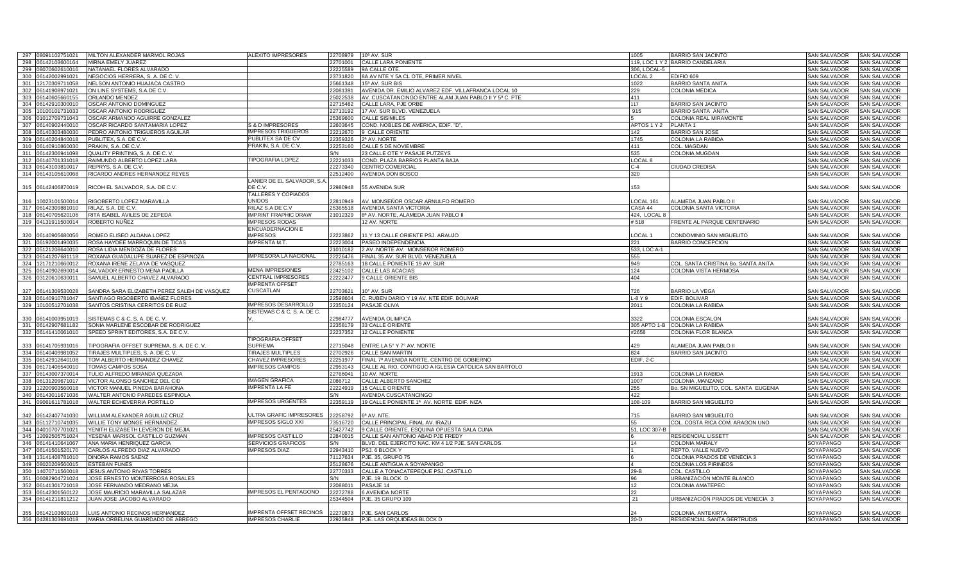| 297 | 08091102751021     | MILTON ALEXANDER MARMOL ROJAS                | ALEXITO IMPRESORES              | 22708979 | 10 <sup>a</sup> AV, SUR                                | 1005                 | <b>BARRIO SAN JACINTO</b>            | <b>SAN SALVADOR</b>                 | <b>SAN SALVADOR</b> |
|-----|--------------------|----------------------------------------------|---------------------------------|----------|--------------------------------------------------------|----------------------|--------------------------------------|-------------------------------------|---------------------|
| 298 | 06142103600164     | MIRNA EMELY JUAREZ                           |                                 | 22701001 | CALLE LARA PONIENTE                                    |                      | 119. LOC 1 Y 2 BARRIO CANDELARIA     | <b>SAN SALVADOR</b>                 | <b>SAN SALVADOR</b> |
| 299 | 08070602610016     | NATANAEL FLORES ALVARADO                     |                                 | 22225589 | 9A CALLE OTE.                                          | 306, LOCAL-5         |                                      | <b>SAN SALVADOR</b>                 | <b>SAN SALVADOR</b> |
|     | 300 06142002991021 | NEGOCIOS HERRERA, S. A. DE C. V.             |                                 | 23731820 | 8A AV NTE Y 5A CL OTE, PRIMER NIVEL                    | LOCAL <sub>2</sub>   | EDIFIO 609                           | <b>SAN SALVADOR</b>                 | <b>SAN SALVADOR</b> |
|     | 301 12170309711058 | NELSON ANTONIO HUAJACA CASTRO                |                                 | 25661348 | 15 <sup>ª</sup> AV, SUR BIS                            | 1022                 | <b>BARRIO SANTA ANITA</b>            | <b>SAN SALVADOR</b>                 | <b>SAN SALVADOR</b> |
| 302 | 06141908971021     | ON LINE SYSTEMS, S.A.DE C.V.                 |                                 | 22081391 | AVENIDA DR. EMILIO ALVAREZ EDF. VILLAFRANCA LOCAL 10   | 229                  | <b>COLONIA MEDICA</b>                | <b>SAN SALVADOR</b>                 | <b>SAN SALVADOR</b> |
| 303 | 06140605660155     | <b>ORLANDO MENDEZ</b>                        |                                 | 25022538 | AV. CUSCATANCINGO ENTRE ALAM JUAN PABLO II Y 5ª C. PTE | 411                  |                                      | <b>SAN SALVADOR</b>                 | SAN SALVADOR        |
|     | 304 06142910300010 | OSCAR ANTONIO DOMINGUEZ                      |                                 | 22715482 | CALLE LARA, PJE ORBE                                   | 117                  | <b>BARRIO SAN JACINTO</b>            | <b>SAN SALVADOR</b>                 | <b>SAN SALVADOR</b> |
| 305 | 10100101731033     | <b>OSCAR ANTONIO RODRIGUEZ</b>               |                                 | 22713192 | 17 AV. SUR BLVD. VENEZUELA                             | 915                  | BARRIO SANTA ANITA                   | <b>SAN SALVADOR</b>                 | SAN SALVADOR        |
| 306 | 01012709731043     | OSCAR ARMANDO AGUIRRE GONZALEZ               |                                 | 25369600 | <b>CALLE SISIMILES</b>                                 |                      | COLONIA REAL MIRAMONTE               | <b>SAN SALVADOR</b>                 | <b>SAN SALVADOR</b> |
|     | 307 06140902440010 | OSCAR RICARDO SANTAMARIA LOPEZ               | <b>S &amp; D IMPRESORES</b>     | 22603645 | COND. NOBLES DE AMERICA, EDIF. "D",                    | APTOS 1 Y 2 PLANTA 1 |                                      | <b>SAN SALVADOR</b>                 | <b>SAN SALVADOR</b> |
|     | 308 06140303480030 | PEDRO ANTONIO TRIGUEROS AGUILAR              | <b>IMPRESOS TRIGUEROS</b>       | 22212670 | 9 CALLE ORIENTE                                        | 142                  | <b>BARRIO SAN JOSE</b>               | <b>SAN SALVADOR</b>                 | <b>SAN SALVADOR</b> |
|     | 309 06140204840018 | PUBLITEX, S.A. DE C.V.                       | PUBLITEX SA DE CV               | 22359326 | 2ª AV. NORTE                                           | 1745                 | COLONIA LA RABIDA                    | <b>SAN SALVADOR</b>                 | <b>SAN SALVADOR</b> |
|     | 310 06140910860030 | PRAKIN, S.A. DE C.V.                         | PRAKIN, S.A. DE C.V.            | 22253160 | CALLE 5 DE NOVIEMBRE                                   | 411                  | COL. MAGDAN                          | SAN SALVADOR                        | <b>SAN SALVADOR</b> |
| 311 | 06142306941098     |                                              |                                 |          |                                                        |                      |                                      | <b>SAN SALVADOR</b>                 | <b>SAN SALVADOR</b> |
|     |                    | QUALITY PRINTING, S. A. DE C. V.             |                                 | S/N      | 23 CALLE OTE Y PASAJE PUTZEYS                          | 535                  | COLONIA MUGDAN                       |                                     |                     |
| 312 | 06140701331018     | RAIMUNDO ALBERTO LOPEZ LARA                  | <b>IPOGRAFIA LOPEZ</b>          | 22221033 | COND. PLAZA BARRIOS PLANTA BAJA                        | LOCAL <sub>8</sub>   |                                      | <b>SAN SALVADOR</b>                 | <b>SAN SALVADOR</b> |
|     | 313 06143103810017 | REPRYS, S.A. DE C.V.                         |                                 | 22273340 | <b>CENTRO COMERCIAL</b>                                | $C-4$                | <b>CIUDAD CREDISA</b>                | <b>SAN SALVADOR</b>                 | <b>SAN SALVADOR</b> |
|     | 314 06143105610068 | RICARDO ANDRES HERNANDEZ REYES               |                                 | 22512400 | AVENIDA DON BOSCO                                      | 320                  |                                      | <b>SAN SALVADOR</b>                 | SAN SALVADOR        |
|     |                    |                                              | LANIER DE EL SALVADOR, S.A      |          |                                                        |                      |                                      |                                     |                     |
|     | 315 06142406870019 | RICOH EL SALVADOR, S.A. DE C.V.              | DE C.V.                         | 22980948 | 55 AVENIDA SUR                                         | 153                  |                                      | <b>SAN SALVADOR</b>                 | <b>SAN SALVADOR</b> |
|     |                    |                                              | TALLERES Y COPIADOS             |          |                                                        |                      |                                      |                                     |                     |
| 316 | 10023101500014     | RIGOBERTO LOPEZ MARAVILLA                    | <b>UNIDOS</b>                   | 22810949 | AV. MONSEÑOR OSCAR ARNULFO ROMERO                      | OCAL 161             | ALAMEDA JUAN PABLO II                | <b>SAN SALVADOR</b>                 | <b>SAN SALVADOR</b> |
|     | 317 06142309881010 | RILAZ. S.A. DE C.V.                          | RILAZ S.A DE C.V                | 25365518 | <b>AVENIDA SANTA VICTORIA</b>                          | CASA 44              | <b>COLONIA SANTA VICTORIA</b>        | <b>SAN SALVADOR</b>                 | <b>SAN SALVADOR</b> |
|     | 318 06140705620106 | RITA ISABEL AVILES DE ZEPEDA                 | <b>IMPRINT FRAPHIC DRAW</b>     | 21012329 | 8ª AV. NORTE, ALAMEDA JUAN PABLO II                    | 424. LOCAL 8         |                                      | <b>SAN SALVADOR</b>                 | <b>SAN SALVADOR</b> |
|     | 319 04131911500014 | ROBERTO NUÑEZ                                | <b>IMPRESOS RODAS</b>           |          | 12 AV. NORTE                                           | #518                 | FRENTE AL PARQUE CENTENARIO          | SAN SALVADOR                        | <b>SAN SALVADOR</b> |
|     |                    |                                              | <b>ENCUADERNACION E</b>         |          |                                                        |                      |                                      |                                     |                     |
| 320 | 06140905680056     | ROMEO ELISEO ALDANA LOPEZ                    | <b>IMPRESOS</b>                 | 22223862 | 11 Y 13 CALLE ORIENTE PSJ. ARAUJO                      | OCAL <sub>1</sub>    | CONDOMINIO SAN MIGUELITO             | <b>SAN SALVADOR</b>                 | <b>SAN SALVADOR</b> |
| 321 | 06192001490035     | ROSA HAYDEE MARROQUIN DE TICAS               | <b>IMPRENTA M.T.</b>            | 22223004 | PASEO INDEPENDENCIA                                    | 221                  | <b>BARRIO CONCEPCION</b>             | <b>SAN SALVADOR</b>                 | <b>SAN SALVADOR</b> |
| 322 | 05121208640010     | ROSA LIDIA MENDOZA DE FLORES                 |                                 | 21010182 | 2 AV. NORTE AV. MONSEÑOR ROMERO                        | 533, LOC A-1         |                                      | <b>SAN SALVADOR</b>                 | <b>SAN SALVADOR</b> |
|     | 323 06141207681118 | ROXANA GUADALUPE SUAREZ DE ESPINOZA          | MPRESORA LA NACIONAL            | 22226476 | FINAL 35 AV. SUR BLVD. VENEZUELA                       | 555                  |                                      | <b>SAN SALVADOR</b>                 | <b>SAN SALVADOR</b> |
| 324 | 12171210660012     | ROXANA IRENE ZELAYA DE VASQUEZ               |                                 | 22785163 | 18 CALLE PONIENTE 19 AV. SUR                           | 949                  | COL. SANTA CRISTINA Bo. SANTA ANITA  | <b>SAN SALVADOR</b>                 | <b>SAN SALVADOR</b> |
|     | 325 06140902690014 | SALVADOR ERNESTO MENA PADILLA                | <b>MENA IMPRESIONES</b>         | 22425102 | CALLE LAS ACACIAS                                      | 124                  | <b>COLONIA VISTA HERMOSA</b>         | <b>SAN SALVADOR</b>                 | <b>SAN SALVADOR</b> |
| 326 | 03120610630011     | SAMUEL ALBERTO CHAVEZ ALVARADO               | CENTRAL IMPRESORES              | 22222477 | 9 CALLE ORIENTE BIS                                    | 404                  |                                      | <b>SAN SALVADOR</b>                 | SAN SALVADOR        |
|     |                    |                                              | <b>IMPRENTA OFFSET</b>          |          |                                                        |                      |                                      |                                     |                     |
| 327 | 06141309530028     | SANDRA SARA ELIZABETH PEREZ SALEH DE VASQUEZ | <b>CUSCATLAN</b>                | 2703621  | 10° AV. SUR                                            | 26                   | <b>BARRIO LA VEGA</b>                | SAN SALVADOR                        | <b>SAN SALVADOR</b> |
|     | 328 06140910781047 | SANTIAGO RIGOBERTO IBAÑEZ FLORES             |                                 | 22598604 | C. RUBEN DARIO Y 19 AV. NTE EDIF. BOLIVAR              | $L-8Y9$              | <b>EDIF, BOLIVAR</b>                 | <b>SAN SALVADOR</b>                 | <b>SAN SALVADOR</b> |
| 329 | 10100512701038     | SANTOS CRISTINA CERRITOS DE RUIZ             | IMPRESOS DESARROLLO             | 22350124 | PASAJE OLIVA                                           | 2011                 | <b>COLONIA LA RABIDA</b>             | <b>SAN SALVADOR</b>                 | <b>SAN SALVADOR</b> |
|     |                    |                                              | SISTEMAS C & C, S. A. DE C.     |          |                                                        |                      |                                      |                                     |                     |
| 330 | 06141003951019     | SISTEMAS C & C, S. A. DE C. V                |                                 | 22984777 | <b>AVENIDA OLIMPICA</b>                                | 3322                 | COLONIA ESCALON                      | <b>SAN SALVADOR</b>                 | <b>SAN SALVADOR</b> |
|     | 331 06142907681182 | SONIA MARLENE ESCOBAR DE RODRIGUEZ           |                                 | 22358179 | 33 CALLE ORIENTE                                       | 305 APTO 1-B         | COLONIA LA RABIDA                    | <b>SAN SALVADOR</b>                 | <b>SAN SALVADOR</b> |
|     | 332 06141410061010 | SPEED SPRINT EDITORES, S.A. DE C.V.          |                                 | 22237352 | <b>12 CALLE PONIENTE</b>                               | #2658                | COLONIA FLOR BLANCA                  | <b>SAN SALVADOR</b>                 | <b>SAN SALVADOR</b> |
|     |                    |                                              | <b><i>TIPOGRAFIA OFFSET</i></b> |          |                                                        |                      |                                      |                                     |                     |
|     | 333 06141705931016 | TIPOGRAFIA OFFSET SUPREMA, S. A. DE C. V.    | <b>SUPREMA</b>                  | 22715048 | ENTRE LA 5° Y 7° AV. NORTE                             | 429                  | <b>ILAMEDA JUAN PABLO II</b>         | <b>SAN SALVADOR</b>                 | SAN SALVADOR        |
|     | 334 06140409981052 | TIRAJES MULTIPLES, S. A. DE C. V.            | <b>TIRAJES MULTIPLES</b>        | 22702926 | <b>CALLE SAN MARTIN</b>                                | 824                  | <b>BARRIO SAN JACINTO</b>            | <b>SAN SALVADOR</b>                 | <b>SAN SALVADOR</b> |
|     | 335 06142912640108 | TOM ALBERTO HERNANDEZ CHAVEZ                 | CHAVEZ IMPRESORES               | 22251977 | FINAL 7ª AVENIDA NORTE, CENTRO DE GOBIERNO             | EDIF, 2-C            |                                      | <b>SAN SALVADOR</b>                 | <b>SAN SALVADOR</b> |
|     | 336 06171406540010 | TOMAS CAMPOS SOSA                            | <b>IMPRESOS CAMPOS</b>          | 22953143 | CALLE AL RIO, CONTIGUO A IGLESIA CATOLICA SAN BARTOLO  |                      |                                      | <b>SAN SALVADOR</b>                 | <b>SAN SALVADOR</b> |
|     | 337 06143007370014 | TULIO ALFREDO MIRANDA QUEZADA                |                                 | 22766041 | 10 AV. NORTE                                           | 1913                 | <b>COLONIA LA RABIDA</b>             | <b>SAN SALVADOR</b>                 | <b>SAN SALVADOR</b> |
| 338 |                    |                                              | <b>IMAGEN GRAFICA</b>           | 2086712  |                                                        | 1007                 | COLONIA , MANZANO                    |                                     | <b>SAN SALVADOR</b> |
|     | 06131209671017     | <b>/ICTOR ALONSO SANCHEZ DEL CID</b>         | <b>IMPRENTA LA FE</b>           | 22224919 | CALLE ALBERTO SANCHEZ                                  | 255                  |                                      | SAN SALVADOR<br><b>SAN SALVADOR</b> |                     |
|     | 339 12200903560018 | VICTOR MANUEL PINEDA BARAHONA                |                                 |          | <b>15 CALLE ORIENTE</b>                                |                      | Bo. SN MIGUELITO, COL. SANTA EUGENIA |                                     | <b>SAN SALVADOR</b> |
|     | 340 06143011671036 | <b>NALTER ANTONIO PAREDES ESPINOLA</b>       |                                 | S/N      | AVENIDA CUSCATANCINGO                                  | 422                  |                                      | <b>SAN SALVADOR</b>                 | <b>SAN SALVADOR</b> |
|     | 341 09061611781018 | WALTER ECHEVERRIA PORTILLO                   | <b>MPRESOS URGENTES</b>         | 22359119 | 19 CALLE PONIENTE 1ª AV. NORTE EDIF. NIZA              | 108-109              | <b>BARRIO SAN MIGUELITO</b>          | <b>SAN SALVADOR</b>                 | <b>SAN SALVADOR</b> |
|     |                    |                                              |                                 |          |                                                        |                      |                                      |                                     |                     |
| 342 | 06142407741030     | WILLIAM ALEXANDER AGUILUZ CRUZ               | ULTRA GRAFIC IMPRESORES         | 22258792 | 6ª AV. NTE.                                            | 715                  | BARRIO SAN MIGUELITO                 | <b>SAN SALVADOR</b>                 | <b>SAN SALVADOR</b> |
| 343 | 05112710741035     | WILLIE TONY MONGE HERNANDEZ                  | <b>IMPRESOS SIGLO XXI</b>       | 73516720 | CALLE PRINCIPAL FINAL AV. IRAZU                        | 55                   | COL. COSTA RICA COM. ARAGON UNO      | <b>SAN SALVADOR</b>                 | SAN SALVADOR        |
| 344 | 04010707701021     | YENITH ELIZABETH LEVERON DE MEJIA            |                                 | 25427742 | 9 CALLE ORIENTE, ESQUINA OPUESTA SALA CUNA             | 51, LOC 307-B        |                                      | <b>SAN SALVADOR</b>                 | <b>SAN SALVADOR</b> |
|     | 345 12092505751024 | YESENIA MARISOL CASTILLO GUZMAN              | <b>IMPRESOS CASTILLO</b>        | 22840015 | CALLE SAN ANTONIO ABAD PJE FREDY                       |                      | RESIDENCIAL LISSETT                  | <b>SAN SALVADOR</b>                 | <b>SAN SALVADOR</b> |
|     | 346 06141410641067 | ANA MARIA HENRIQUEZ GARCIA                   | SERVICIOS GRAFICOS              | S/N      | BLVD. DEL EJERCITO NAC. KM 4 1/2 PJE. SAN CARLOS       | 14                   | <b>COLONIA MARALY</b>                | SOYAPANGO                           | <b>SAN SALVADOR</b> |
| 347 | 06141501520170     | CARLOS ALFREDO DIAZ ALVARADO                 | MPRESOS DIAZ                    | 22943410 | PSJ. 6 BLOCK Y                                         |                      | REPTO. VALLE NUEVO                   | SOYAPANGO                           | <b>SAN SALVADOR</b> |
| 348 | 13141408781010     | DINORA RAMOS SAENZ                           |                                 | 71127634 | PJE. 35, GRUPO 75                                      |                      | COLONIA PRADOS DE VENECIA 3          | SOYAPANGO                           | <b>SAN SALVADOR</b> |
| 349 | 08020209560015     | <b>STEBAN FUNES</b>                          |                                 | 25128676 | CALLE ANTIGUA A SOYAPANGO                              |                      | COLONIA LOS PIRINEOS                 | SOYAPANGO                           | <b>SAN SALVADOR</b> |
| 350 | 14070711560018     | JESUS ANTONIO RIVAS TORRES                   |                                 | 22770333 | CALLE A TONACATEPEQUE PSJ. CASTILLO                    | 29-B                 | COL. CASTILLO                        | SOYAPANGO                           | <b>SAN SALVADOR</b> |
| 351 | 06082904721024     | JOSE ERNESTO MONTERROSA ROSALES              |                                 | S/N      | PJE. 19 BLOCK D                                        | 96                   | URBANIZACIÓN MONTE BLANCO            | SOYAPANGO                           | <b>SAN SALVADOR</b> |
|     | 352 06141301721018 | JOSE FERNANDO MEDRANO MEJIA                  |                                 | 22088011 | PASAJE 14                                              | 12                   | COLONIA AMATEPEC                     | SOYAPANGO                           | <b>SAN SALVADOR</b> |
|     | 353 06142301560122 | JOSE MAURICIO MARAVILLA SALAZAR              | IMPRESOS EL PENTAGONO           | 22272788 | <b>6 AVENIDA NORTE</b>                                 | 22                   |                                      | SOYAPANGO                           | <b>SAN SALVADOR</b> |
|     | 354 06141211811212 | JUAN JOSE JACOBO ALVARADO                    |                                 |          | 25344504 PJE. 35 GRUPO 109                             | 21                   | URBANIZACIÓN PRADOS DE VENECIA 3     | SOYAPANGO                           | SAN SALVADOR        |
|     |                    |                                              |                                 |          |                                                        |                      |                                      |                                     |                     |
| 355 | 06142103600103     | LUIS ANTONIO RECINOS HERNANDEZ               | MPRENTA OFFSET RECINOS          | 22270873 | PJE. SAN CARLOS                                        | 24                   | COLONIA, ANTEKIRTA                   | SOYAPANGO                           | <b>SAN SALVADOR</b> |
|     | 356 04281303691018 | MARIA ORBELINA GUARDADO DE ABREGO            | <b>IMPRESOS CHARLIE</b>         |          | 22925848 PJE. LAS ORQUIDEAS BLOCK D                    | $20-D$               | RESIDENCIAL SANTA GERTRUDIS          | SOYAPANGO                           | <b>SAN SALVADOR</b> |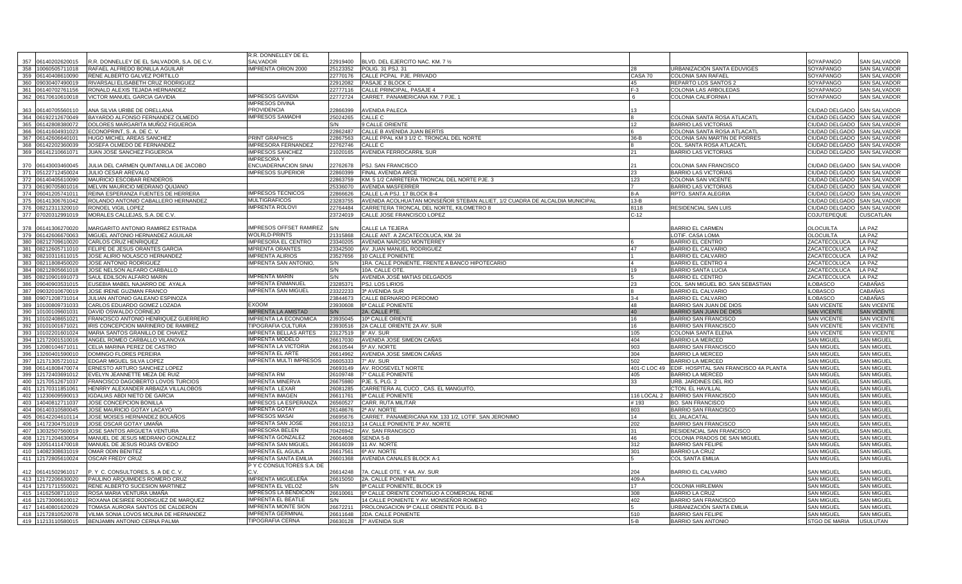|     |                    |                                             | R.R. DONNELLEY DE EL           |          |                                                                             |              |                                        |                    |                     |
|-----|--------------------|---------------------------------------------|--------------------------------|----------|-----------------------------------------------------------------------------|--------------|----------------------------------------|--------------------|---------------------|
| 357 | 06140202620015     | R.R. DONNELLEY DE EL SALVADOR, S.A. DE C.V. | <b>SALVADOR</b>                | 22919400 | BLVD, DEL EJERCITO NAC, KM, 7 1/2                                           |              |                                        | SOYAPANGO          | <b>SAN SALVADOR</b> |
|     | 358 10060505711018 | RAFAEL ALFREDO BONILLA AGUILAR              | <b>IMPRENTA ORION 2000</b>     | 25123352 | POLIG. 31 PSJ. 31                                                           | 28           | URBANIZACIÓN SANTA EDUVIGES            | SOYAPANGO          | <b>SAN SALVADOR</b> |
|     | 359 06140408610090 | RENE ALBERTO GALVEZ PORTILLO                |                                | 22770176 | CALLE PCPAL PJE. PRIVADO                                                    | CASA 70      | <b>COLONIA SAN RAFAEL</b>              | SOYAPANGO          | <b>SAN SALVADOR</b> |
|     | 360 09030407490019 | RIVARSALI ELISABETH CRUZ RODRIGUEZ          |                                | 22912082 | PASAJE 2 BLOCK C                                                            | 45           | REPARTO LOS SANTOS 2                   | SOYAPANGO          | SAN SALVADOR        |
|     |                    | RONALD ALEXIS TEJADA HERNANDEZ              |                                |          |                                                                             |              |                                        | SOYAPANGO          |                     |
|     | 361 06140702761156 |                                             |                                | 22777116 | CALLE PRINCIPAL, PASAJE 4                                                   | $F-3$        | COLONIA LAS ARBOLEDAS                  |                    | <b>SAN SALVADOR</b> |
|     | 362 06170610610018 | <b>/ICTOR MANUEL GARCIA GAVIDIA</b>         | <b>IMPRESOS GAVIDIA</b>        | 22772724 | CARRET. PANAMERICANA KM. 7 PJE. 1                                           | 6            | COLONIA CALIFORNIA I                   | SOYAPANGO          | <b>SAN SALVADOR</b> |
|     |                    |                                             | <b>IMPRESOS DIVINA</b>         |          |                                                                             |              |                                        |                    |                     |
| 363 | 06140705560110     | ANA SILVIA URIBE DE ORELLANA                | <b>PROVIDENCIA</b>             | 22866399 | <b>AVENIDA PALECA</b>                                                       |              |                                        | CIUDAD DELGADO     | <b>SAN SALVADOR</b> |
|     | 364 06192212670049 | BAYARDO ALFONSO FERNANDEZ OLMEDO            | <b>IMPRESOS SAMADHI</b>        | 25024265 | CALLE C                                                                     |              | COLONIA SANTA ROSA ATLACATL            | CIUDAD DELGADO     | <b>SAN SALVADOR</b> |
|     | 365 06142808380072 | DOLORES MARGARITA MUÑOZ FIGUEROA            |                                | S/N      | 9 CALLE ORIENTE                                                             | 12           | <b>BARRIO LAS VICTORIAS</b>            | CIUDAD DELGADO     | <b>SAN SALVADOR</b> |
|     | 366 06141604931023 | ECONOPRINT, S. A. DE C. V                   |                                | 22862487 | CALLE B AVENIDA JUAN BERTIS                                                 |              | COLONIA SANTA ROSA ATLACATI            | CIUDAD DELGADO     | <b>SAN SALVADOR</b> |
|     | 367 06142606640101 | HUGO MICHEL AREAS SANCHEZ                   | <b>PRINT GRAPHICS</b>          | 22867563 | CALLE PPAL KM 3 1/2 C. TRONCAL DEL NORTE                                    | $36-B$       | COLONIA SAN MARTIN DE PORRES           | CIUDAD DELGADO     | <b>SAN SALVADOR</b> |
|     | 368 06142202360039 | JOSEFA OLMEDO DE FERNANDEZ                  | <b>IMPRESORA FERNANDEZ</b>     | 22762746 | CALLE C                                                                     |              | COL. SANTA ROSA ATLACATL               | CIUDAD DELGADO     | <b>SAN SALVADOR</b> |
|     | 369 06141210661071 | JUAN JOSE SANCHEZ FIGUEROA                  | <b>IMPRESOS SANCHEZ</b>        | 21020165 | AVENIDA FERROCARRIL SUR                                                     |              | <b>BARRIO LAS VICTORIAS</b>            | CIUDAD DELGADO     | <b>SAN SALVADOR</b> |
|     |                    |                                             | <b>MPRESORA</b> Y              |          |                                                                             |              |                                        |                    |                     |
|     |                    |                                             | <b>ENCUADERNACION SINAI</b>    |          | PSJ. SAN FRANCISCO                                                          |              | COLONIA SAN FRANCISCO                  | CIUDAD DELGADO     |                     |
| 370 | 06143003460045     | JULIA DEL CARMEN QUINTANILLA DE JACOBO      |                                | 22762678 |                                                                             |              |                                        |                    | <b>SAN SALVADOR</b> |
|     | 371 05122712450024 | JULIO CESAR AREVALO                         | <b>IMPRESOS SUPERIOR</b>       | 22860399 | <b>FINAL AVENIDA ARCE</b>                                                   | 23           | <b>BARRIO LAS VICTORIAS</b>            | CIUDAD DELGADO     | <b>SAN SALVADOR</b> |
| 372 | 06140405610090     | MAURICIO ESCOBAR RENDEROS                   |                                | 22863759 | KM. 5 1/2 CARRETERA TRONCAL DEL NORTE PJE. 3                                | 123          | COLONIA SAN VICENTE                    | CIUDAD DELGADO     | <b>SAN SALVADOR</b> |
|     | 373 06190705801016 | MELVIN MAURICIO MEDRANO QUIJANO             |                                | 25336070 | <b>AVENIDA MASFERRER</b>                                                    |              | <b>BARRIO LAS VICTORIAS</b>            | CIUDAD DELGADO     | <b>SAN SALVADOR</b> |
|     | 374 06041205741011 | REINA ESPERANZA FUENTES DE HERRERA          | <b>IMPRESOS TECNICOS</b>       | 22866626 | CALLE L-A PSJ. 17 BLOCK B-4                                                 | $8-A$        | RPTO, SANTA ALEGRIA                    | CIUDAD DELGADO     | <b>SAN SALVADOR</b> |
|     | 375 06141306761042 | ROLANDO ANTONIO CABALLERO HERNANDEZ         | <b>MULTIGRAFICOS</b>           | 23283755 | AVENIDA ACOLHUATAN MONSEÑOR STEBAN ALLIET, 1/2 CUADRA DE ALCALDIA MUNICIPAL | $13-B$       |                                        | CIUDAD DELGADO     | SAN SALVADOR        |
|     | 376 08212311320010 | RONOEL VIGIL LOPEZ                          | <b>IMPRENTA ROLOV</b>          | 22764484 | CARRETERA TRONCAL DEL NORTE, KILOMETRO 8                                    | 8118         | RESIDENCIAL SAN LUIS                   | CIUDAD DELGADO     | <b>SAN SALVADOR</b> |
|     | 377 07020312991019 | MORALES CALLEJAS, S.A. DE C.V.              |                                | 23724019 | CALLE JOSE FRANCISCO LOPEZ                                                  | $C-12$       |                                        | COJUTEPEQUE        | CUSCATLÁN           |
|     |                    |                                             |                                |          |                                                                             |              |                                        |                    |                     |
| 378 | 06141306270020     | <b>MARGARITO ANTONIO RAMIREZ ESTRADA</b>    | IMPRESOS OFFSET RAMIREZ        | 3/N      | CALLE LA TEJERA                                                             |              | <b>BARRIO EL CARMEN</b>                | <b>DLOCUILTA</b>   | A PAZ               |
|     | 379 06142606670063 | MIGUEL ANTONIO HERNANDEZ AGUILAR            | <b>WOLRLD-PRINTS</b>           | 21315868 | CALLE ANT. A ZACATECOLUCA, KM. 24                                           |              | LOTIF, CASA LOMA                       | <b>OLOCUILTA</b>   | A PAZ               |
|     |                    |                                             |                                |          |                                                                             |              |                                        |                    |                     |
| 380 | 08212709610020     | CARLOS CRUZ HENRIQUEZ                       | <b>IMPRESORA EL CENTRO</b>     | 23340205 | AVENIDA NARCISO MONTERREY                                                   |              | <b>BARRIO EL CENTRO</b>                | ZACATECOLUCA       | A PAZ               |
|     | 381 08212605711010 | FELIPE DE JESUS ORANTES GARCIA              | <b>MPRENTA ORANTES</b>         | 23342500 | AV. JUAN MANUEL RODRIGUEZ                                                   | 47           | <b>BARRIO EL CALVARIC</b>              | ZACATECOLUCA       | A PAZ               |
|     | 382 08210311611015 | JOSE ALIRIO NOLASCO HERNANDEZ               | <b>IMPRENTA ALIRIOS</b>        | 23527656 | 10 CALLE PONIENTE                                                           |              | <b>BARRIO EL CALVARIO</b>              | ZACATECOLUCA       | A PAZ               |
|     | 383 08211808450020 | JOSE ANTONIO RODRIGUEZ                      | IMPRENTA SAN ANTONIO,          | S/N      | 1RA. CALLE PONIENTE, FRENTE A BANCO HIPOTECARIO                             |              | <b>BARRIO EL CENTRO 4</b>              | ZACATECOLUCA       | LA PAZ              |
|     | 384 08212805661018 | JOSE NELSON ALFARO CARBALLO                 |                                | S/N      | 10A. CALLE OTE                                                              |              | BARRIO SANTA LUCIA                     | ZACATECOLUCA       | A PAZ               |
|     | 385 08210901691073 | SAUL EDILSON ALFARO MARIN                   | <b>IMPRENTA MARIN</b>          | S/N      | AVENIDA JOSÉ MATIAS DELGADOS                                                |              | BARRIO EL CENTRO                       | ZACATECOLUCA       | LA PAZ              |
| 386 | 09040903531015     | EUSEBIA MABEL NAJARRO DE AYALA              | <b>IMPRENTA ENMANUEL</b>       | 23285371 | PSJ. LOS LIRIOS                                                             | 23           | COL. SAN MIGUEL BO. SAN SEBASTIAN      | <b>ILOBASCO</b>    | CABAÑAS             |
| 387 | 09032010670019     | JOSE IRENE GUZMAN FRANCO                    | <b>IMPRENTA SAN MIGUEL</b>     | 23322233 | 3ª AVENIDA SUR                                                              |              | <b>BARRIO EL CALVARIO</b>              | <b>ILOBASCO</b>    | CABAÑAS             |
| 388 | 09071208731014     | JULIAN ANTONIO GALEANO ESPINOZA             |                                | 23844673 | CALLE BERNARDO PERDOMO                                                      | $3 - 4$      | <b>BARRIO EL CALVARIO</b>              | <b>ILOBASCO</b>    | CABAÑAS             |
|     |                    |                                             |                                |          |                                                                             |              |                                        |                    |                     |
| 389 | 10100809731033     | CARLOS EDUARDO GOMEZ LOZADA                 | <b>EXOOM</b>                   | 23930608 | 6ª CALLE PONIENTE                                                           | 48           | BARRIO SAN JUAN DE DIOS                | <b>SAN VICENTE</b> | <b>SAN VICENTE</b>  |
|     | 390 10100109601031 | DAVID OSWALDO CORNEJO                       | <b>IMPRENTA LA AMISTAD</b>     | S/N      | 2A. CALLE PTE                                                               | 40           | <b>BARRIO SAN JUAN DE DIOS</b>         | <b>SAN VICENTE</b> | <b>SAN VICENTE</b>  |
|     | 391 10102408651021 | FRANCISCO ANTONIO HENRIQUEZ GUERRERO        | <b>IMPRENTA LA ECONOMICA</b>   | 23935045 | 10 <sup>a</sup> CALLE ORIENTE                                               | 16           | <b>BARRIO SAN FRANCISCO</b>            | <b>SAN VICENTE</b> | <b>SAN VICENTE</b>  |
|     | 392 10101001671021 | IRIS CONCEPCION MARINERO DE RAMIREZ         | TIPOGRAFIA CULTURA             | 23930516 | 2A CALLE ORIENTE 2A AV. SUR                                                 |              | <b>BARRIO SAN FRANCISCO</b>            | <b>SAN VICENTE</b> | <b>SAN VICENTE</b>  |
|     | 393 10102201601024 | MARIA SANTOS GRANILLO DE CHAVEZ             | <b>IMPRENTA BELLAS ARTES</b>   | 23127519 | 8° AV. SUR                                                                  | 105          | <b>COLONIA SANTA ELENA</b>             | <b>SAN VICENTE</b> | <b>SAN VICENTE</b>  |
|     | 394 12172001510016 | ANGEL ROMEO CARBALLO VILANOVA               | <b>IMPRENTA MODELO</b>         | 26617030 | AVENIDA JOSE SIMEON CAÑAS                                                   | 404          | <b>BARRIO LA MERCED</b>                | <b>SAN MIGUEL</b>  | SAN MIGUEL          |
|     | 395 12080104671011 | CELIA MARINA PEREZ DE CASTRO                | <b>IMPRENTA LA VICTORIA</b>    | 26610544 | 5ª AV. NORTE                                                                | 903          | <b>BARRIO SAN FRANCISCO</b>            | <b>SAN MIGUEL</b>  | <b>SAN MIGUEL</b>   |
|     | 396 13260401590010 | DOMINGO FLORES PEREIRA                      | <b>IMPRENTA EL ARTE</b>        | 26614962 | AVENIDA JOSE SIMEON CAÑAS                                                   | 304          | <b>BARRIO LA MERCED</b>                | <b>SAN MIGUEL</b>  | <b>SAN MIGUEL</b>   |
|     |                    | EDGAR MIGUEL SILVA LOPEZ                    | <b>IMPRENTA MULTI IMPRESOS</b> | 26605333 | 7° AV. SUR                                                                  | 502          | <b>BARRIO LA MERCED</b>                | SAN MIGUEL         | <b>SAN MIGUEI</b>   |
|     | 397 12171305721012 |                                             |                                |          |                                                                             |              |                                        |                    |                     |
|     | 398 06141808470074 | ERNESTO ARTURO SANCHEZ LOPEZ                |                                | 26693149 | AV. ROOSEVELT NORTE                                                         | 401-C LOC 49 | EDIF. HOSPITAL SAN FRANCISCO 4A PLANTA | <b>SAN MIGUEL</b>  | <b>SAN MIGUEL</b>   |
|     | 399 12172403691012 | EVELYN JEANNETTE MEZA DE RUIZ               | <b>IMPRENTA RM</b>             | 26109748 | 7° CALLE PONIENTE                                                           | 405          | BARRIO LA MERCED                       | SAN MIGUEL         | SAN MIGUEL          |
|     | 400 12170512671037 | FRANCISCO DAGOBERTO LOVOS TURCIOS           | <b>IMPRENTA MINERVA</b>        | 26675980 | PJE. 5, PLG. 2                                                              | 33           | URB. JARDINES DEL RIO                  | <b>SAN MIGUEL</b>  | <b>SAN MIGUEL</b>   |
|     | 401 12170311851061 | HENRRY ALEXANDER ARBAIZA VILLALOBOS         | <b>IMPRENTA LEXAR</b>          | 26081285 | CARRETERA AL CUCO . CAS. EL MANGUITO.                                       |              | <b>CTON. EL HAVILLAL</b>               | <b>SAN MIGUEL</b>  | <b>SAN MIGUEL</b>   |
|     | 402 11230609590013 | <b>IGDALIAS ABDI NIETO DE GARCIA</b>        | <b>IMPRENTA IMAGEN</b>         | 26611761 | 8ª CALLE PONIENTE                                                           | 16 LOCAL 2   | <b>BARRIO SAN FRANCISCO</b>            | <b>SAN MIGUEL</b>  | <b>SAN MIGUEL</b>   |
|     | 403 14040812711037 | JOSE CONCEPCION BONILLA                     | IMPRESOS LA ESPERANZA          | 26560527 | CARR. RUTA MILITAR                                                          | #193         | <b>BO. SAN FRANCISCO</b>               | <b>SAN MIGUEL</b>  | SAN MIGUEL          |
|     | 404 06140310580045 | JOSE MAURICIO GOTAY LACAYO                  | <b>IMPRENTA GOTAY</b>          | 26148676 | 2ª AV. NORTE                                                                | 803          | <b>BARRIO SAN FRANCISCO</b>            | SAN MIGUEL         | SAN MIGUEL          |
|     | 405 06142204610114 | JOSE MOISES HERNANDEZ BOLAÑOS               | <b>IMPRESOS MASAI</b>          | 26695676 | CARRET. PANAMERICANA KM. 133 1/2, LOTIF. SAN JERONIMO                       | 14           | EL JALACATAL                           | SAN MIGUEL         | <b>SAN MIGUEL</b>   |
|     | 406 14172304751019 | JOSE OSCAR GOTAY UMAÑA                      | <b>IMPRENTA SAN JOSE</b>       | 26610213 | 14 CALLE PONIENTE 3ª AV. NORTE                                              | 202          | <b>BARRIO SAN FRANCISCO</b>            | <b>SAN MIGUEL</b>  | <b>SAN MIGUEL</b>   |
|     | 407 13032507560019 | JOSE SANTOS ARGUETA VENTURA                 | <b>IMPRESORA BELEN</b>         | 70426942 | AV. SAN FRANCISCO                                                           | 31           | RESIDENCIAL SAN FRANCISCO              | <b>SAN MIGUEL</b>  | <b>SAN MIGUEL</b>   |
|     |                    |                                             | <b>IMPRENTA GONZALEZ</b>       |          |                                                                             |              |                                        |                    | <b>SAN MIGUEL</b>   |
|     | 408 12171204630054 | MANUEL DE JESUS MEDRANO GONZALEZ            |                                | 26064608 | SENDA 5-B                                                                   | 46           | COLONIA PRADOS DE SAN MIGUEL           | <b>SAN MIGUEL</b>  |                     |
|     | 409 12051411470018 | MANUEL DE JESUS ROJAS OVIEDO                | <b>IMPRENTA SAN MIGUEL</b>     | 26616039 | 11 AV. NORTE                                                                | 312          | <b>BARRIO SAN FELIPE</b>               | <b>SAN MIGUEL</b>  | SAN MIGUEL          |
|     | 410 14082308631019 | OMAR ODIN BENITEZ                           | <b>IMPRENTA EL AGUILA</b>      | 26617561 | 6ª AV. NORTE                                                                | 301          | <b>BARRIO LA CRUZ</b>                  | SAN MIGUEL         | <b>SAN MIGUEL</b>   |
|     | 411 12172805610024 | <b>OSCAR FREDY CRUZ</b>                     | <b>IMPRENTA SANTA EMILIA</b>   | 26601368 | <b>AVENIDA CANALES BLOCK A-1</b>                                            |              | COL SANTA EMILIA                       | SAN MIGUEL         | SAN MIGUEL          |
|     |                    |                                             | P Y C CONSULTORES S.A. DE      |          |                                                                             |              |                                        |                    |                     |
|     | 412 06141502961017 | '. Y C. CONSULTORES, S. A DE C. V.          | C.V                            | 26614248 | 7A. CALLE OTE. Y 4A. AV. SUR                                                | 204          | <b>BARRIO EL CALVARIO</b>              | SAN MIGUEL         | <b>SAN MIGUEI</b>   |
|     | 413 12172206630020 | PAULINO ARQUIMIDES ROMERO CRUZ              | <b>IMPRENTA MIGUELEÑA</b>      | 26615050 | 2A. CALLE PONIENTE                                                          | 409-A        |                                        | <b>SAN MIGUEL</b>  | <b>SAN MIGUEL</b>   |
|     | 414 12171711550021 | RENE ALBERTO SUCESION MARTINEZ              | <b>IMPRENTA EL VELOZ</b>       | S/N      | 8ª CALLE PONIENTE, BLOCK 19                                                 | 17           | COLONIA HIRLEMAN                       | SAN MIGUEL         | SAN MIGUEL          |
|     | 415 14162508711010 | ROSA MARIA VENTURA UMAÑA                    | <b>IMPRESOS LA BENDICION</b>   | 26610061 | 6ª CALLE ORIENTE CONTIGUO A COMERCIAL RENE                                  | 308          | <b>BARRIO LA CRUZ</b>                  | <b>SAN MIGUEL</b>  | <b>SAN MIGUEI</b>   |
|     | 416 12173006610012 | ROXANA DESIREE RODRIGUEZ DE MARQUEZ         | <b>IMPRENTA EL BEATLE</b>      | S/N      | 14 CALLE PONIENTE Y AV. MONSEÑOR ROMERO                                     | 402          | <b>BARRIO SAN FRANCISCO</b>            | <b>SAN MIGUEL</b>  | <b>SAN MIGUEI</b>   |
|     |                    |                                             |                                |          |                                                                             |              |                                        |                    |                     |
|     | 417 14140801620029 | TOMASA AURORA SANTOS DE CALDERON            | <b>IMPRENTA MONTE SION</b>     | 26672211 | PROLONGACION 9ª CALLE ORIENTE POLIG. B-1                                    |              | URBANIZACIÓN SANTA EMILIA              | <b>SAN MIGUEL</b>  | <b>SAN MIGUEL</b>   |
|     | 418 12172810520078 | VILMA SONIA LOVOS MOLINA DE HERNANDEZ       | <b>IMPRENTA GERMINAL</b>       | 26611648 | 2DA, CALLE PONIENTE                                                         | 510          | <b>BARRIO SAN FELIPE</b>               | <b>SAN MIGUEL</b>  | <b>SAN MIGUEL</b>   |
|     | 419 11213110580015 | BENJAMIN ANTONIO CERNA PALMA                | <b>TIPOGRAFIA CERNA</b>        |          | 26630128 7° AVENIDA SUR                                                     | $5-B$        | <b>BARRIO SAN ANTONIO</b>              | STGO DE MARIA      | <b>USULUTAN</b>     |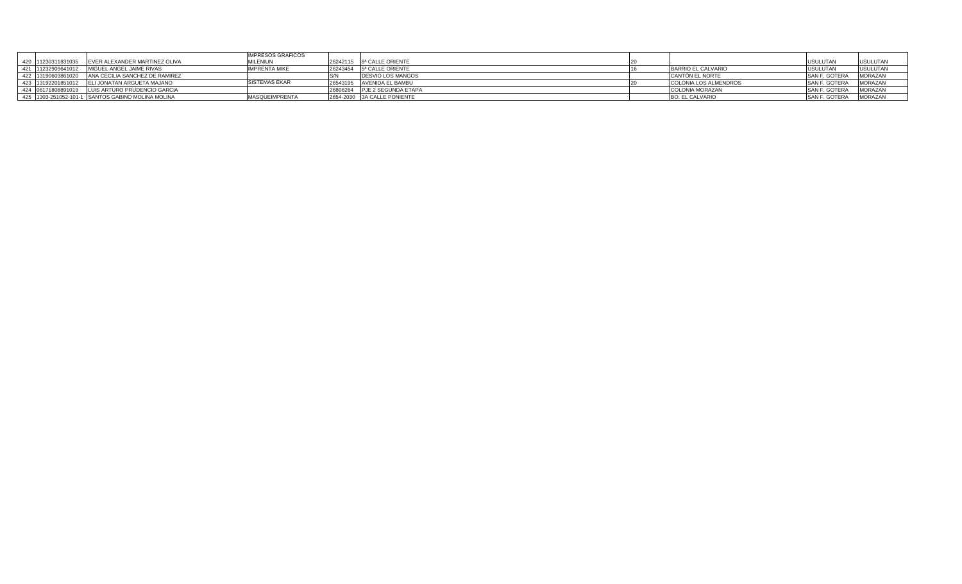|  |                                                   | <b>IMPRESOS GRAFICOS</b> |                              |                        |                 |                 |
|--|---------------------------------------------------|--------------------------|------------------------------|------------------------|-----------------|-----------------|
|  | 420 11230311831035 EVER ALEXANDER MARTINEZ OLIVA  | MILENIUN                 | 26242115 8ª CALLE ORIENTE    |                        | <b>JSULUTAN</b> | <b>USULUTAN</b> |
|  | 421  11232909641012   MIGUEL ANGEL JAIME RIVAS    | <b>IMPRENTA MIKE</b>     | 26243454 5ª CALLE ORIENTE    | BARRIO EL CALVARIO     | USULUTAN        | <b>USULUTAN</b> |
|  | 422 13190603861020 ANA CECILIA SANCHEZ DE RAMIREZ |                          | <b>DESVIO LOS MANGOS</b>     | CANTÓN EL NORTE        | SAN F. GOTERA   | <b>MORAZAN</b>  |
|  | 423 13192201851012 ELI JONATAN ARGUETA MAJANO     | <b>SISTEMAS EKAR</b>     | 26543195 AVENIDA EL BAMBU    | COLONIA LOS ALMENDROS  | SAN F. GOTERA   | <b>MORAZAN</b>  |
|  | 424 06171808891019 LUIS ARTURO PRUDENCIO GARCIA   |                          | 26806264 PJE 2 SEGUNDA ETAPA | <b>COLONIA MORAZAN</b> | SAN F. GOTERA   | <b>MORAZAN</b>  |
|  | 425 1303-251052-101-1 SANTOS GABINO MOLINA MOLINA | <b>MASQUEIMPRENTA</b>    | 2654-2030 3A CALLE PONIENTE  | <b>BO. EL CALVARIO</b> | SAN F. GOTERA   | <b>MORAZAN</b>  |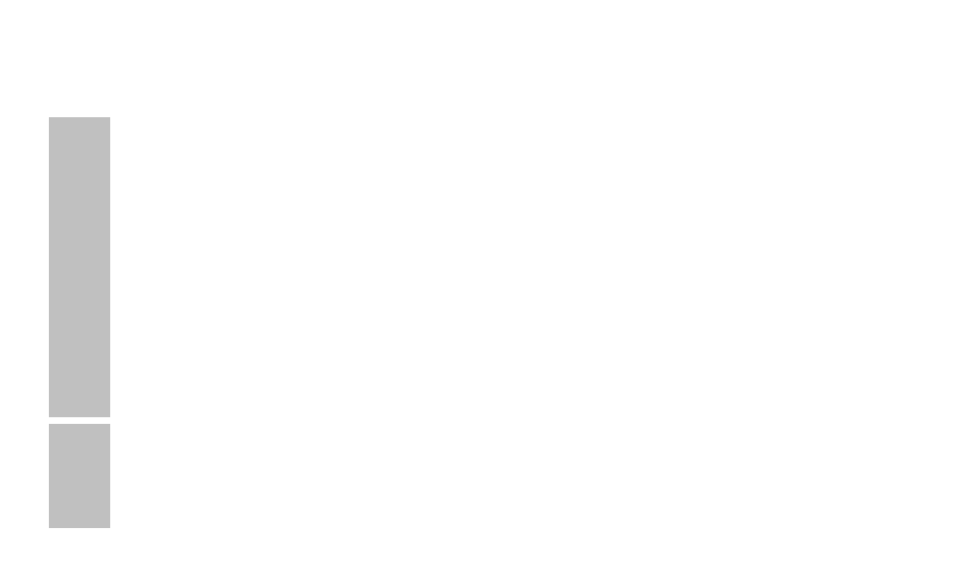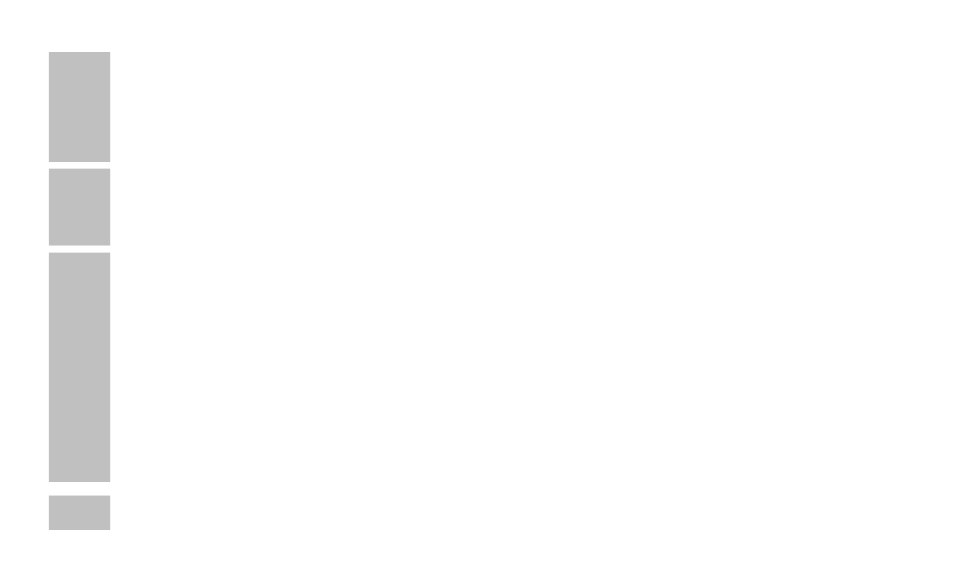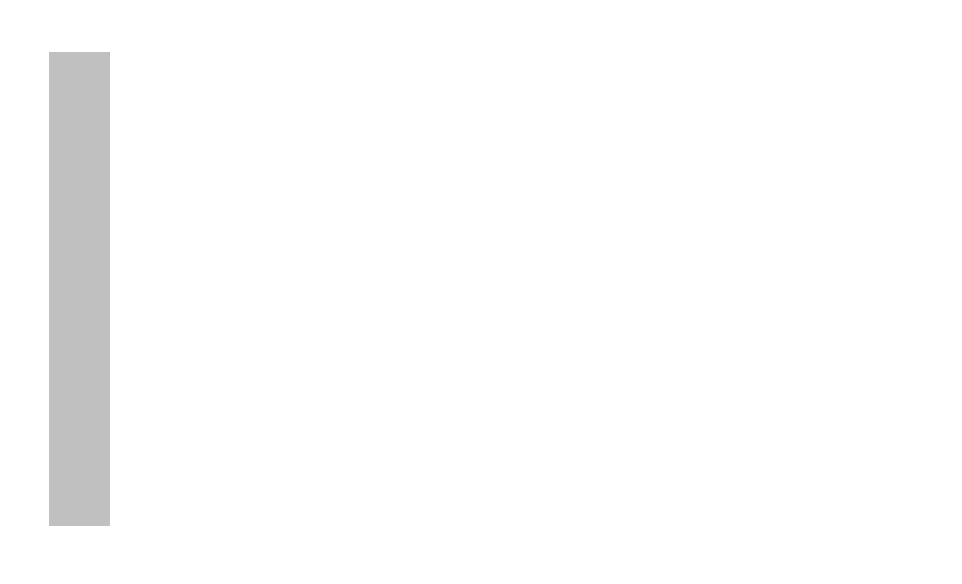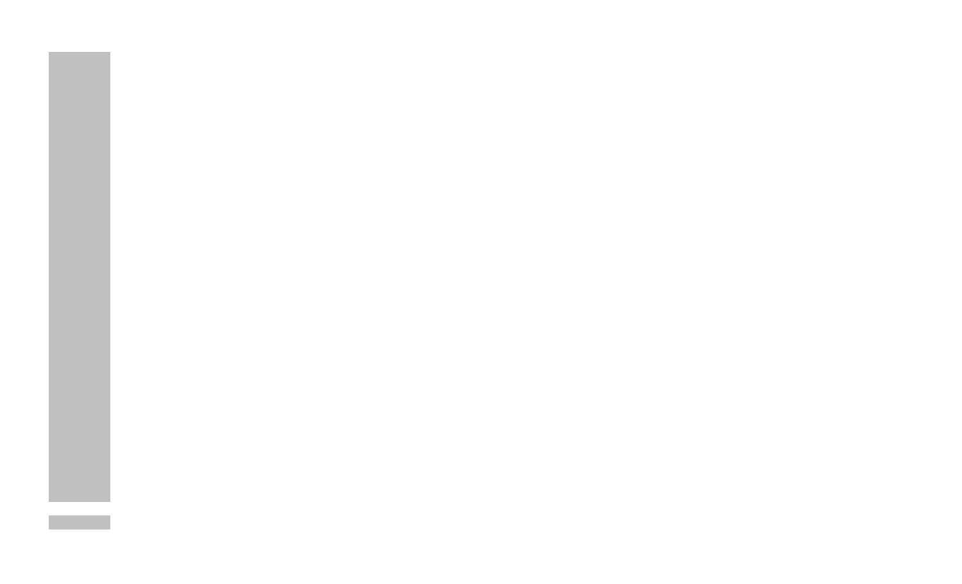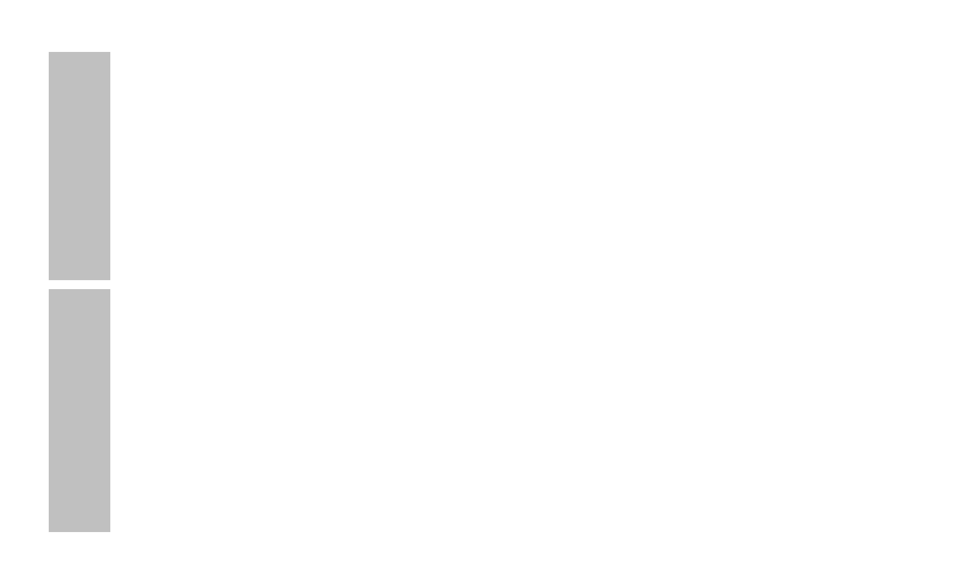